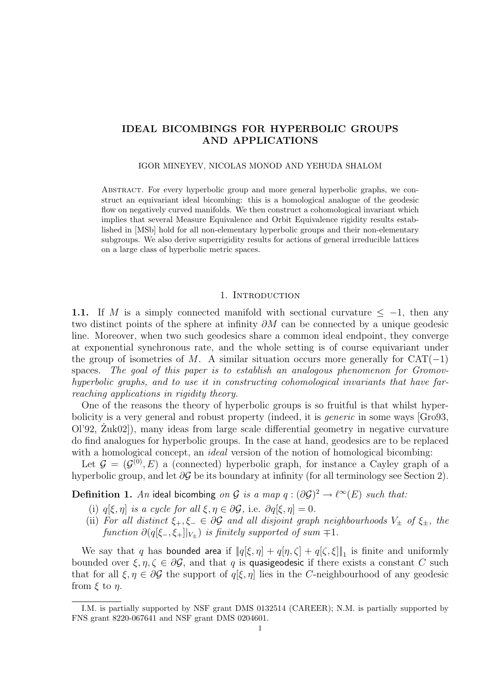# IDEAL BICOMBINGS FOR HYPERBOLIC GROUPS AND APPLICATIONS

# IGOR MINEYEV, NICOLAS MONOD AND YEHUDA SHALOM

Abstract. For every hyperbolic group and more general hyperbolic graphs, we construct an equivariant ideal bicombing: this is a homological analogue of the geodesic flow on negatively curved manifolds. We then construct a cohomological invariant which implies that several Measure Equivalence and Orbit Equivalence rigidity results established in [MSb] hold for all non-elementary hyperbolic groups and their non-elementary subgroups. We also derive superrigidity results for actions of general irreducible lattices on a large class of hyperbolic metric spaces.

# 1. INTRODUCTION

1.1. If M is a simply connected manifold with sectional curvature  $\leq -1$ , then any two distinct points of the sphere at infinity ∂M can be connected by a unique geodesic line. Moreover, when two such geodesics share a common ideal endpoint, they converge at exponential synchronous rate, and the whole setting is of course equivariant under the group of isometries of M. A similar situation occurs more generally for  $CAT(-1)$ spaces. The goal of this paper is to establish an analogous phenomenon for Gromovhyperbolic graphs, and to use it in constructing cohomological invariants that have farreaching applications in rigidity theory.

One of the reasons the theory of hyperbolic groups is so fruitful is that whilst hyperbolicity is a very general and robust property (indeed, it is generic in some ways [Gro93,  $O[92, Zuk02]$ , many ideas from large scale differential geometry in negative curvature do find analogues for hyperbolic groups. In the case at hand, geodesics are to be replaced with a homological concept, an *ideal* version of the notion of homological bicombing:

Let  $\mathcal{G} = (\mathcal{G}^{(0)}, E)$  a (connected) hyperbolic graph, for instance a Cayley graph of a hyperbolic group, and let  $\partial \mathcal{G}$  be its boundary at infinity (for all terminology see Section 2).

**Definition 1.** An ideal bicombing on G is a map  $q : (\partial \mathcal{G})^2 \to \ell^{\infty}(E)$  such that:

- (i)  $q[\xi, \eta]$  is a cycle for all  $\xi, \eta \in \partial \mathcal{G}$ , i.e.  $\partial q[\xi, \eta] = 0$ .
- (ii) For all distinct  $\xi_+,\xi_-\in\partial\mathcal{G}$  and all disjoint graph neighbourhoods  $V_{\pm}$  of  $\xi_{\pm}$ , the function  $\partial(q[\xi_-, \xi_+]|_{V_+})$  is finitely supported of sum  $\mp 1$ .

We say that q has bounded area if  $||q[\xi, \eta] + q[\eta, \zeta] + q[\zeta, \xi]||_1$  is finite and uniformly bounded over  $\xi, \eta, \zeta \in \partial \mathcal{G}$ , and that q is quasigeodesic if there exists a constant C such that for all  $\xi, \eta \in \partial \mathcal{G}$  the support of  $q[\xi, \eta]$  lies in the C-neighbourhood of any geodesic from  $\xi$  to  $\eta$ .

I.M. is partially supported by NSF grant DMS 0132514 (CAREER); N.M. is partially supported by FNS grant 8220-067641 and NSF grant DMS 0204601.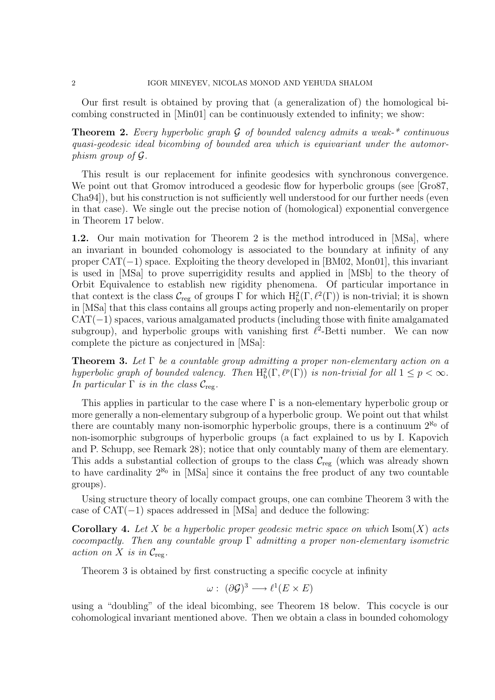Our first result is obtained by proving that (a generalization of) the homological bicombing constructed in [Min01] can be continuously extended to infinity; we show:

**Theorem 2.** Every hyperbolic graph  $G$  of bounded valency admits a weak-\* continuous quasi-geodesic ideal bicombing of bounded area which is equivariant under the automorphism group of G.

This result is our replacement for infinite geodesics with synchronous convergence. We point out that Gromov introduced a geodesic flow for hyperbolic groups (see [Gro87, Cha94]), but his construction is not sufficiently well understood for our further needs (even in that case). We single out the precise notion of (homological) exponential convergence in Theorem 17 below.

1.2. Our main motivation for Theorem 2 is the method introduced in [MSa], where an invariant in bounded cohomology is associated to the boundary at infinity of any proper  $CAT(-1)$  space. Exploiting the theory developed in [BM02, Mon01], this invariant is used in [MSa] to prove superrigidity results and applied in [MSb] to the theory of Orbit Equivalence to establish new rigidity phenomena. Of particular importance in that context is the class  $\mathcal{C}_{reg}$  of groups  $\overline{\Gamma}$  for which  $H_b^2(\Gamma, \ell^2(\Gamma))$  is non-trivial; it is shown in [MSa] that this class contains all groups acting properly and non-elementarily on proper  $CAT(-1)$  spaces, various amalgamated products (including those with finite amalgamated subgroup), and hyperbolic groups with vanishing first  $\ell^2$ -Betti number. We can now complete the picture as conjectured in [MSa]:

**Theorem 3.** Let  $\Gamma$  be a countable group admitting a proper non-elementary action on a hyperbolic graph of bounded valency. Then  $H_b^2(\Gamma, \ell^p(\Gamma))$  is non-trivial for all  $1 \leq p < \infty$ . In particular  $\Gamma$  is in the class  $\mathcal{C}_{reg}$ .

This applies in particular to the case where  $\Gamma$  is a non-elementary hyperbolic group or more generally a non-elementary subgroup of a hyperbolic group. We point out that whilst there are countably many non-isomorphic hyperbolic groups, there is a continuum  $2^{\aleph_0}$  of non-isomorphic subgroups of hyperbolic groups (a fact explained to us by I. Kapovich and P. Schupp, see Remark 28); notice that only countably many of them are elementary. This adds a substantial collection of groups to the class  $\mathcal{C}_{reg}$  (which was already shown to have cardinality  $2^{\aleph_0}$  in [MSa] since it contains the free product of any two countable groups).

Using structure theory of locally compact groups, one can combine Theorem 3 with the case of  $CAT(-1)$  spaces addressed in [MSa] and deduce the following:

**Corollary 4.** Let X be a hyperbolic proper geodesic metric space on which  $\text{Isom}(X)$  acts cocompactly. Then any countable group  $\Gamma$  admitting a proper non-elementary isometric action on X is in  $\mathcal{C}_{\text{reg}}$ .

Theorem 3 is obtained by first constructing a specific cocycle at infinity

$$
\omega: (\partial \mathcal{G})^3 \longrightarrow \ell^1(E \times E)
$$

using a "doubling" of the ideal bicombing, see Theorem 18 below. This cocycle is our cohomological invariant mentioned above. Then we obtain a class in bounded cohomology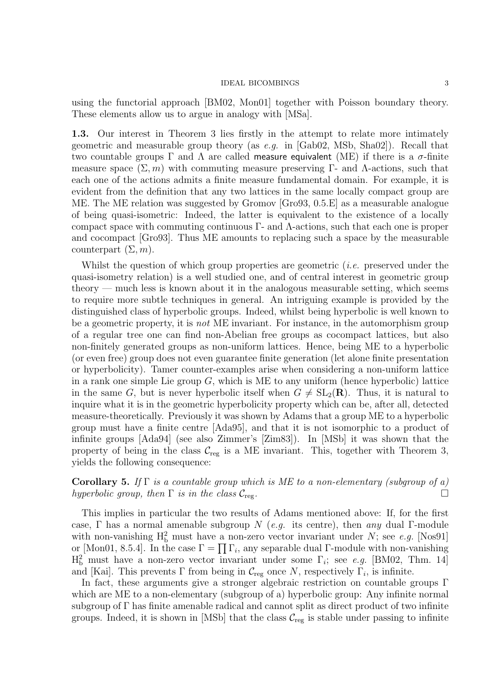using the functorial approach [BM02, Mon01] together with Poisson boundary theory. These elements allow us to argue in analogy with [MSa].

1.3. Our interest in Theorem 3 lies firstly in the attempt to relate more intimately geometric and measurable group theory (as  $e.g.$  in [Gab02, MSb, Sha02]). Recall that two countable groups  $\Gamma$  and  $\Lambda$  are called measure equivalent (ME) if there is a  $\sigma$ -finite measure space  $(\Sigma, m)$  with commuting measure preserving Γ- and Λ-actions, such that each one of the actions admits a finite measure fundamental domain. For example, it is evident from the definition that any two lattices in the same locally compact group are ME. The ME relation was suggested by Gromov [Gro93, 0.5.E] as a measurable analogue of being quasi-isometric: Indeed, the latter is equivalent to the existence of a locally compact space with commuting continuous Γ- and Λ-actions, such that each one is proper and cocompact [Gro93]. Thus ME amounts to replacing such a space by the measurable counterpart  $(\Sigma, m)$ .

Whilst the question of which group properties are geometric  $(i.e.$  preserved under the quasi-isometry relation) is a well studied one, and of central interest in geometric group theory — much less is known about it in the analogous measurable setting, which seems to require more subtle techniques in general. An intriguing example is provided by the distinguished class of hyperbolic groups. Indeed, whilst being hyperbolic is well known to be a geometric property, it is not ME invariant. For instance, in the automorphism group of a regular tree one can find non-Abelian free groups as cocompact lattices, but also non-finitely generated groups as non-uniform lattices. Hence, being ME to a hyperbolic (or even free) group does not even guarantee finite generation (let alone finite presentation or hyperbolicity). Tamer counter-examples arise when considering a non-uniform lattice in a rank one simple Lie group  $G$ , which is ME to any uniform (hence hyperbolic) lattice in the same G, but is never hyperbolic itself when  $G \neq SL_2(\mathbf{R})$ . Thus, it is natural to inquire what it is in the geometric hyperbolicity property which can be, after all, detected measure-theoretically. Previously it was shown by Adams that a group ME to a hyperbolic group must have a finite centre [Ada95], and that it is not isomorphic to a product of infinite groups [Ada94] (see also Zimmer's [Zim83]). In [MSb] it was shown that the property of being in the class  $\mathcal{C}_{\text{reg}}$  is a ME invariant. This, together with Theorem 3, yields the following consequence:

# Corollary 5. If  $\Gamma$  is a countable group which is ME to a non-elementary (subgroup of a) hyperbolic group, then  $\Gamma$  is in the class  $\mathcal{C}_{\text{rec}}$ .

This implies in particular the two results of Adams mentioned above: If, for the first case, Γ has a normal amenable subgroup N (e.g. its centre), then any dual Γ-module with non-vanishing  $H_b^2$  must have a non-zero vector invariant under N; see e.g. [Nos91] or [Mon01, 8.5.4]. In the case  $\Gamma = \prod \Gamma_i$ , any separable dual  $\Gamma$ -module with non-vanishing  $H_b^2$  must have a non-zero vector invariant under some  $\Gamma_i$ ; see e.g. [BM02, Thm. 14] and [Kai]. This prevents  $\Gamma$  from being in  $\mathcal{C}_{reg}$  once N, respectively  $\Gamma_i$ , is infinite.

In fact, these arguments give a stronger algebraic restriction on countable groups Γ which are ME to a non-elementary (subgroup of a) hyperbolic group: Any infinite normal subgroup of Γ has finite amenable radical and cannot split as direct product of two infinite groups. Indeed, it is shown in [MSb] that the class  $\mathcal{C}_{reg}$  is stable under passing to infinite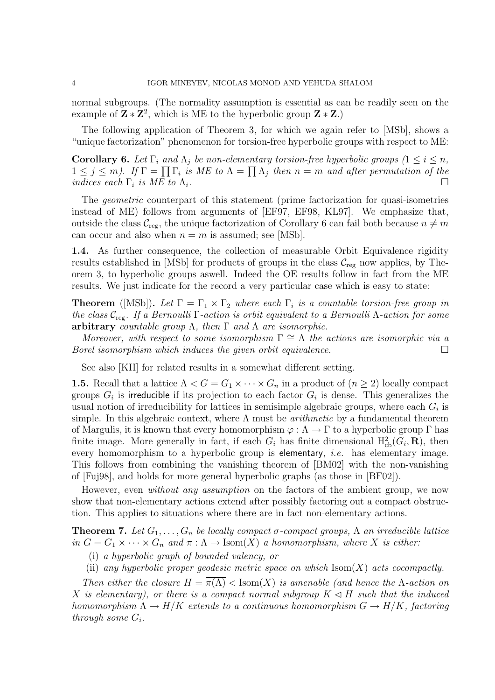normal subgroups. (The normality assumption is essential as can be readily seen on the example of  $\mathbf{Z} * \mathbf{Z}^2$ , which is ME to the hyperbolic group  $\mathbf{Z} * \mathbf{Z}$ .)

The following application of Theorem 3, for which we again refer to [MSb], shows a "unique factorization" phenomenon for torsion-free hyperbolic groups with respect to ME:

**Corollary 6.** Let  $\Gamma_i$  and  $\Lambda_j$  be non-elementary torsion-free hyperbolic groups  $(1 \leq i \leq n,$  $1 \leq j \leq m$ ). If  $\Gamma = \prod \Gamma_i$  is ME to  $\Lambda = \prod \Lambda_j$  then  $n = m$  and after permutation of the indices each  $\Gamma_i$  is ME to  $\Lambda_i$ .

The *geometric* counterpart of this statement (prime factorization for quasi-isometries instead of ME) follows from arguments of [EF97, EF98, KL97]. We emphasize that, outside the class  $\mathcal{C}_{reg}$ , the unique factorization of Corollary 6 can fail both because  $n \neq m$ can occur and also when  $n = m$  is assumed; see [MSb].

1.4. As further consequence, the collection of measurable Orbit Equivalence rigidity results established in [MSb] for products of groups in the class  $C_{reg}$  now applies, by Theorem 3, to hyperbolic groups aswell. Indeed the OE results follow in fact from the ME results. We just indicate for the record a very particular case which is easy to state:

**Theorem** ([MSb]). Let  $\Gamma = \Gamma_1 \times \Gamma_2$  where each  $\Gamma_i$  is a countable torsion-free group in the class  $\mathcal{C}_{\text{reg}}$ . If a Bernoulli  $\Gamma$ -action is orbit equivalent to a Bernoulli  $\Lambda$ -action for some arbitrary countable group  $\Lambda$ , then  $\Gamma$  and  $\Lambda$  are isomorphic.

Moreover, with respect to some isomorphism  $\Gamma \cong \Lambda$  the actions are isomorphic via a Borel isomorphism which induces the given orbit equivalence.  $\Box$ 

See also [KH] for related results in a somewhat different setting.

**1.5.** Recall that a lattice  $\Lambda < G = G_1 \times \cdots \times G_n$  in a product of  $(n \geq 2)$  locally compact groups  $G_i$  is irreducible if its projection to each factor  $G_i$  is dense. This generalizes the usual notion of irreducibility for lattices in semisimple algebraic groups, where each  $G_i$  is simple. In this algebraic context, where  $\Lambda$  must be *arithmetic* by a fundamental theorem of Margulis, it is known that every homomorphism  $\varphi : \Lambda \to \Gamma$  to a hyperbolic group  $\Gamma$  has finite image. More generally in fact, if each  $G_i$  has finite dimensional  $H^2_{cb}(G_i, \mathbf{R})$ , then every homomorphism to a hyperbolic group is elementary, *i.e.* has elementary image. This follows from combining the vanishing theorem of [BM02] with the non-vanishing of [Fuj98], and holds for more general hyperbolic graphs (as those in [BF02]).

However, even *without any assumption* on the factors of the ambient group, we now show that non-elementary actions extend after possibly factoring out a compact obstruction. This applies to situations where there are in fact non-elementary actions.

**Theorem 7.** Let  $G_1, \ldots, G_n$  be locally compact  $\sigma$ -compact groups,  $\Lambda$  an irreducible lattice in  $G = G_1 \times \cdots \times G_n$  and  $\pi : \Lambda \to \text{Isom}(X)$  a homomorphism, where X is either:

- (i) a hyperbolic graph of bounded valency, or
- (ii) any hyperbolic proper geodesic metric space on which  $\text{Isom}(X)$  acts cocompactly.

Then either the closure  $H = \pi(\Lambda) <$  Isom(X) is amenable (and hence the  $\Lambda$ -action on X is elementary), or there is a compact normal subgroup  $K \triangleleft H$  such that the induced homomorphism  $\Lambda \to H/K$  extends to a continuous homomorphism  $G \to H/K$ , factoring through some  $G_i$ .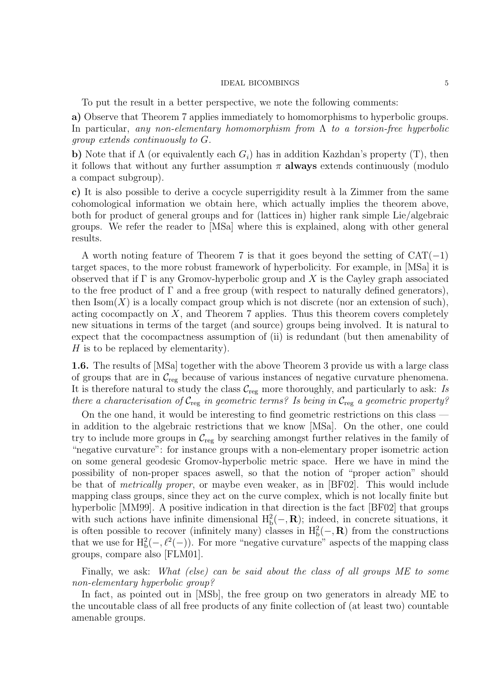To put the result in a better perspective, we note the following comments:

a) Observe that Theorem 7 applies immediately to homomorphisms to hyperbolic groups. In particular, any non-elementary homomorphism from  $\Lambda$  to a torsion-free hyperbolic group extends continuously to G.

b) Note that if  $\Lambda$  (or equivalently each  $G_i$ ) has in addition Kazhdan's property (T), then it follows that without any further assumption  $\pi$  always extends continuously (modulo a compact subgroup).

c) It is also possible to derive a cocycle superrigidity result à la Zimmer from the same cohomological information we obtain here, which actually implies the theorem above, both for product of general groups and for (lattices in) higher rank simple Lie/algebraic groups. We refer the reader to [MSa] where this is explained, along with other general results.

A worth noting feature of Theorem 7 is that it goes beyond the setting of  $CAT(-1)$ target spaces, to the more robust framework of hyperbolicity. For example, in [MSa] it is observed that if  $\Gamma$  is any Gromov-hyperbolic group and X is the Cayley graph associated to the free product of  $\Gamma$  and a free group (with respect to naturally defined generators), then  $\text{Isom}(X)$  is a locally compact group which is not discrete (nor an extension of such), acting cocompactly on  $X$ , and Theorem 7 applies. Thus this theorem covers completely new situations in terms of the target (and source) groups being involved. It is natural to expect that the cocompactness assumption of (ii) is redundant (but then amenability of  $H$  is to be replaced by elementarity).

1.6. The results of [MSa] together with the above Theorem 3 provide us with a large class of groups that are in  $\mathcal{C}_{reg}$  because of various instances of negative curvature phenomena. It is therefore natural to study the class  $\mathcal{C}_{reg}$  more thoroughly, and particularly to ask: Is there a characterisation of  $\mathcal{C}_{reg}$  in geometric terms? Is being in  $\mathcal{C}_{reg}$  a geometric property?

On the one hand, it would be interesting to find geometric restrictions on this class in addition to the algebraic restrictions that we know [MSa]. On the other, one could try to include more groups in  $\mathcal{C}_{\text{reg}}$  by searching amongst further relatives in the family of "negative curvature": for instance groups with a non-elementary proper isometric action on some general geodesic Gromov-hyperbolic metric space. Here we have in mind the possibility of non-proper spaces aswell, so that the notion of "proper action" should be that of metrically proper, or maybe even weaker, as in [BF02]. This would include mapping class groups, since they act on the curve complex, which is not locally finite but hyperbolic [MM99]. A positive indication in that direction is the fact [BF02] that groups with such actions have infinite dimensional  $H_b^2(-, R)$ ; indeed, in concrete situations, it is often possible to recover (infinitely many) classes in  $H_b^2(-, R)$  from the constructions that we use for  $H_b^2(-, \ell^2(-))$ . For more "negative curvature" aspects of the mapping class groups, compare also [FLM01].

Finally, we ask: What (else) can be said about the class of all groups ME to some non-elementary hyperbolic group?

In fact, as pointed out in [MSb], the free group on two generators in already ME to the uncoutable class of all free products of any finite collection of (at least two) countable amenable groups.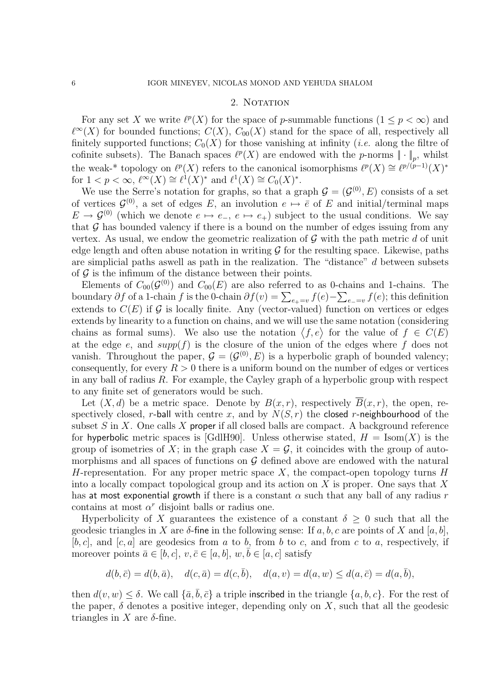# 2. NOTATION

For any set X we write  $\ell^p(X)$  for the space of p-summable functions  $(1 \leq p < \infty)$  and  $\ell^{\infty}(X)$  for bounded functions;  $C(X)$ ,  $C_{00}(X)$  stand for the space of all, respectively all finitely supported functions;  $C_0(X)$  for those vanishing at infinity (*i.e.* along the filtre of cofinite subsets). The Banach spaces  $\ell^p(X)$  are endowed with the p-norms  $\|\cdot\|_p$ , whilst the weak-\* topology on  $\ell^p(X)$  refers to the canonical isomorphisms  $\ell^p(X) \cong \ell^{p/(p-1)}(X)^*$ for  $1 < p < \infty$ ,  $\ell^{\infty}(X) \cong \ell^{1}(X)^{*}$  and  $\ell^{1}(X) \cong C_{0}(X)^{*}$ .

We use the Serre's notation for graphs, so that a graph  $\mathcal{G} = (\mathcal{G}^{(0)}, E)$  consists of a set of vertices  $\mathcal{G}^{(0)}$ , a set of edges E, an involution  $e \mapsto \overline{e}$  of E and initial/terminal maps  $E \to \mathcal{G}^{(0)}$  (which we denote  $e \mapsto e_+$ ,  $e \mapsto e_+$ ) subject to the usual conditions. We say that  $G$  has bounded valency if there is a bound on the number of edges issuing from any vertex. As usual, we endow the geometric realization of  $\mathcal G$  with the path metric d of unit edge length and often abuse notation in writing  $\mathcal G$  for the resulting space. Likewise, paths are simplicial paths aswell as path in the realization. The "distance" d between subsets of  $\mathcal G$  is the infimum of the distance between their points.

Elements of  $C_{00}(\mathcal{G}^{(0)})$  and  $C_{00}(E)$  are also referred to as 0-chains and 1-chains. The boundary  $\partial f$  of a 1-chain f is the 0-chain  $\partial f(v) = \sum_{e_+ = v} f(e) - \sum_{e_- = v} f(e)$ ; this definition extends to  $C(E)$  if G is locally finite. Any (vector-valued) function on vertices or edges extends by linearity to a function on chains, and we will use the same notation (considering chains as formal sums). We also use the notation  $\langle f, e \rangle$  for the value of  $f \in C(E)$ at the edge e, and  $supp(f)$  is the closure of the union of the edges where f does not vanish. Throughout the paper,  $\mathcal{G} = (\mathcal{G}^{(0)}, E)$  is a hyperbolic graph of bounded valency; consequently, for every  $R > 0$  there is a uniform bound on the number of edges or vertices in any ball of radius  $R$ . For example, the Cayley graph of a hyperbolic group with respect to any finite set of generators would be such.

Let  $(X, d)$  be a metric space. Denote by  $B(x, r)$ , respectively  $\overline{B}(x, r)$ , the open, respectively closed, r-ball with centre x, and by  $N(S, r)$  the closed r-neighbourhood of the subset  $S$  in  $X$ . One calls  $X$  proper if all closed balls are compact. A background reference for hyperbolic metric spaces is [GdlH90]. Unless otherwise stated,  $H = \text{Isom}(X)$  is the group of isometries of X; in the graph case  $X = \mathcal{G}$ , it coincides with the group of automorphisms and all spaces of functions on  $G$  defined above are endowed with the natural H-representation. For any proper metric space  $X$ , the compact-open topology turns  $H$ into a locally compact topological group and its action on  $X$  is proper. One says that  $X$ has at most exponential growth if there is a constant  $\alpha$  such that any ball of any radius r contains at most  $\alpha^r$  disjoint balls or radius one.

Hyperbolicity of X guarantees the existence of a constant  $\delta \geq 0$  such that all the geodesic triangles in X are  $\delta$ -fine in the following sense: If a, b, c are points of X and [a, b],  $[b, c]$ , and  $[c, a]$  are geodesics from a to b, from b to c, and from c to a, respectively, if moreover points  $\bar{a} \in [b, c], v, \bar{c} \in [a, b], w, b \in [a, c]$  satisfy

$$
d(b, \bar{c}) = d(b, \bar{a}), \quad d(c, \bar{a}) = d(c, \bar{b}), \quad d(a, v) = d(a, w) \leq d(a, \bar{c}) = d(a, \bar{b}),
$$

then  $d(v, w) \le \delta$ . We call  $\{\bar{a}, \bar{b}, \bar{c}\}$  a triple inscribed in the triangle  $\{a, b, c\}$ . For the rest of the paper,  $\delta$  denotes a positive integer, depending only on X, such that all the geodesic triangles in X are  $\delta$ -fine.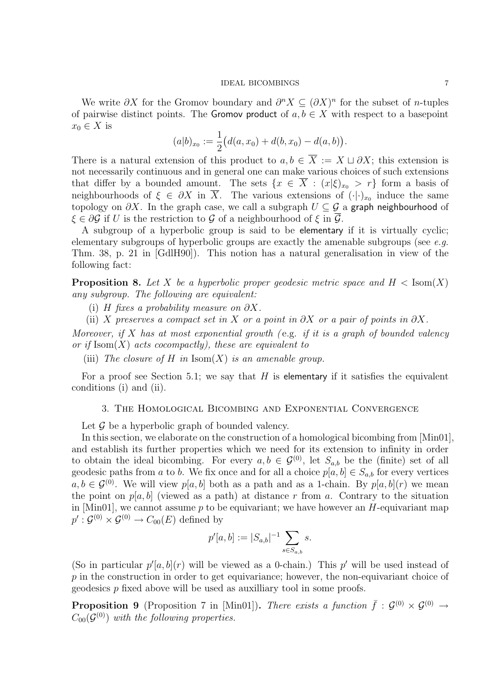We write  $\partial X$  for the Gromov boundary and  $\partial^n X \subseteq (\partial X)^n$  for the subset of *n*-tuples of pairwise distinct points. The Gromov product of  $a, b \in X$  with respect to a basepoint  $x_0 \in X$  is

$$
(a|b)_{x_0} := \frac{1}{2} \big( d(a, x_0) + d(b, x_0) - d(a, b) \big).
$$

There is a natural extension of this product to  $a, b \in \overline{X} := X \sqcup \partial X$ ; this extension is not necessarily continuous and in general one can make various choices of such extensions that differ by a bounded amount. The sets  $\{x \in \overline{X} : (x|\xi)_{x_0} > r\}$  form a basis of neighbourhoods of  $\xi \in \partial X$  in  $\overline{X}$ . The various extensions of  $(\cdot | \cdot)_{x_0}$  induce the same topology on  $\partial X$ . In the graph case, we call a subgraph  $U \subseteq \mathcal{G}$  a graph neighbourhood of  $\xi \in \partial \mathcal{G}$  if U is the restriction to G of a neighbourhood of  $\xi$  in  $\overline{\mathcal{G}}$ .

A subgroup of a hyperbolic group is said to be elementary if it is virtually cyclic; elementary subgroups of hyperbolic groups are exactly the amenable subgroups (see  $e.g.$ Thm. 38, p. 21 in [GdlH90]). This notion has a natural generalisation in view of the following fact:

**Proposition 8.** Let X be a hyperbolic proper geodesic metric space and  $H < Isom(X)$ any subgroup. The following are equivalent:

(i) H fixes a probability measure on  $\partial X$ .

(ii) X preserves a compact set in X or a point in  $\partial X$  or a pair of points in  $\partial X$ .

Moreover, if  $X$  has at most exponential growth (e.g. if it is a graph of bounded valency or if  $\text{Isom}(X)$  acts cocompactly), these are equivalent to

(iii) The closure of H in  $\text{Isom}(X)$  is an amenable group.

For a proof see Section 5.1; we say that  $H$  is elementary if it satisfies the equivalent conditions (i) and (ii).

# 3. The Homological Bicombing and Exponential Convergence

Let  $\mathcal G$  be a hyperbolic graph of bounded valency.

In this section, we elaborate on the construction of a homological bicombing from [Min01], and establish its further properties which we need for its extension to infinity in order to obtain the ideal bicombing. For every  $a, b \in \mathcal{G}^{(0)}$ , let  $S_{a,b}$  be the (finite) set of all geodesic paths from a to b. We fix once and for all a choice  $p[a, b] \in S_{a,b}$  for every vertices  $a, b \in \mathcal{G}^{(0)}$ . We will view  $p[a, b]$  both as a path and as a 1-chain. By  $p[a, b](r)$  we mean the point on  $p[a, b]$  (viewed as a path) at distance r from a. Contrary to the situation in [Min01], we cannot assume  $p$  to be equivariant; we have however an  $H$ -equivariant map  $p': \mathcal{G}^{(0)} \times \mathcal{G}^{(0)} \to C_{00}(E)$  defined by

$$
p'[a,b] := |S_{a,b}|^{-1} \sum_{s \in S_{a,b}} s.
$$

(So in particular  $p'[a, b](r)$  will be viewed as a 0-chain.) This p' will be used instead of  $p$  in the construction in order to get equivariance; however, the non-equivariant choice of geodesics p fixed above will be used as auxilliary tool in some proofs.

**Proposition 9** (Proposition 7 in [Min01]). There exists a function  $\bar{f}: \mathcal{G}^{(0)} \times \mathcal{G}^{(0)} \rightarrow$  $C_{00}(\mathcal{G}^{(0)})$  with the following properties.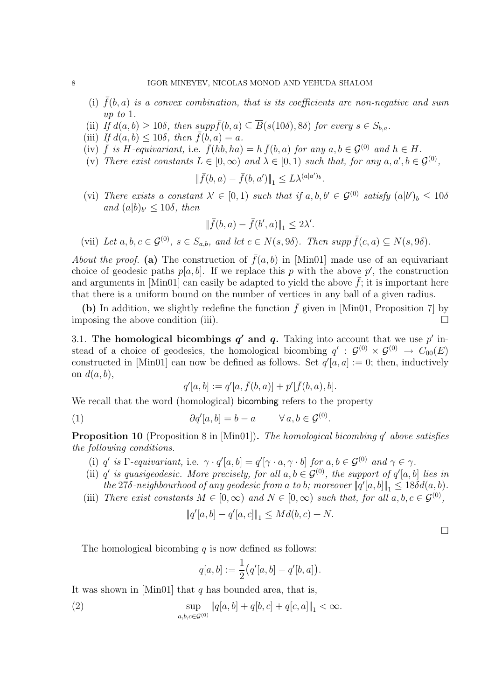- (i)  $\bar{f}(b, a)$  is a convex combination, that is its coefficients are non-negative and sum up to 1.
- (ii) If  $d(a, b) \geq 10\delta$ , then  $supp \bar{f}(b, a) \subseteq \bar{B}(s(10\delta), 8\delta)$  for every  $s \in S_{b,a}$ .
- (iii) If  $d(a, b) \leq 10\delta$ , then  $\bar{f}(b, a) = a$ .
- (iv)  $\bar{f}$  is H-equivariant, i.e.  $\bar{f}(h\bar{b},\bar{h}a) = h \bar{f}(b,a)$  for any  $a, b \in \mathcal{G}^{(0)}$  and  $h \in H$ .
- (v) There exist constants  $L \in [0, \infty)$  and  $\lambda \in [0, 1)$  such that, for any  $a, a', b \in \mathcal{G}^{(0)}$ ,

$$
\|\bar{f}(b,a)-\bar{f}(b,a')\|_1 \leq L\lambda^{(a|a')_b}.
$$

(vi) There exists a constant  $\lambda' \in [0,1)$  such that if  $a, b, b' \in \mathcal{G}^{(0)}$  satisfy  $(a|b')_b \leq 10\delta$ and  $(a|b)_{b'} \le 10\delta$ , then

$$
\|\bar f(b,a)-\bar f(b',a)\|_1\leq 2\lambda'.
$$

(vii) Let  $a, b, c \in \mathcal{G}^{(0)}$ ,  $s \in S_{a,b}$ , and let  $c \in N(s, 9\delta)$ . Then supp  $\bar{f}(c, a) \subseteq N(s, 9\delta)$ .

About the proof. (a) The construction of  $\bar{f}(a, b)$  in [Min01] made use of an equivariant choice of geodesic paths  $p[a, b]$ . If we replace this p with the above p', the construction and arguments in [Min01] can easily be adapted to yield the above  $\bar{f}$ ; it is important here that there is a uniform bound on the number of vertices in any ball of a given radius.

(b) In addition, we slightly redefine the function  $\bar{f}$  given in [Min01, Proposition 7] by imposing the above condition (iii).  $\Box$ 

3.1. The homological bicombings  $q'$  and  $q$ . Taking into account that we use  $p'$  instead of a choice of geodesics, the homological bicombing  $q' : \mathcal{G}^{(0)} \times \mathcal{G}^{(0)} \to C_{00}(E)$ constructed in [Min01] can now be defined as follows. Set  $q'[a, a] := 0$ ; then, inductively on  $d(a, b)$ ,

$$
q'[a,b] := q'[a,\bar{f}(b,a)] + p'[\bar{f}(b,a),b].
$$

We recall that the word (homological) bicombing refers to the property

(1) 
$$
\partial q'[a,b] = b - a \qquad \forall a,b \in \mathcal{G}^{(0)}.
$$

**Proposition 10** (Proposition 8 in [Min01]). The homological bicombing  $q'$  above satisfies the following conditions.

- (i) q' is  $\Gamma$ -equivariant, i.e.  $\gamma \cdot q'[a, b] = q'[\gamma \cdot a, \gamma \cdot b]$  for  $a, b \in \mathcal{G}^{(0)}$  and  $\gamma \in \gamma$ .
- (ii) q' is quasigeodesic. More precisely, for all  $a, b \in \mathcal{G}^{(0)}$ , the support of  $q'[a, b]$  lies in the 278-neighbourhood of any geodesic from a to b; moreover  $\|\hat{q}'[a,b]\|_1 \leq 18\delta d(a,b)$ .
- (iii) There exist constants  $M \in [0, \infty)$  and  $N \in [0, \infty)$  such that, for all  $a, b, c \in \mathcal{G}^{(0)}$ ,

$$
\|q'[a,b]-q'[a,c]\|_1\leq Md(b,c)+N.
$$

 $\Box$ 

The homological bicombing  $q$  is now defined as follows:

$$
q[a, b] := \frac{1}{2} (q'[a, b] - q'[b, a]).
$$

It was shown in [Min01] that  $q$  has bounded area, that is,

(2) 
$$
\sup_{a,b,c \in \mathcal{G}^{(0)}} \|q[a,b] + q[b,c] + q[c,a] \|_1 < \infty.
$$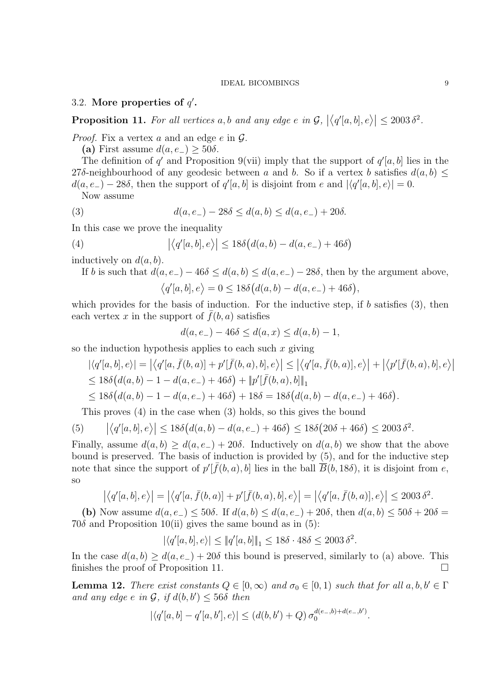3.2. More properties of  $q'$ .

**Proposition 11.** For all vertices a, b and any edge e in  $\mathcal{G}$ ,  $|\langle q'[a,b],e\rangle| \leq 2003 \delta^2$ .

*Proof.* Fix a vertex a and an edge  $e$  in  $\mathcal{G}$ .

(a) First assume  $d(a, e_{-}) \geq 50\delta$ .

The definition of q' and Proposition 9(vii) imply that the support of  $q'[a, b]$  lies in the 27δ-neighbourhood of any geodesic between a and b. So if a vertex b satisfies  $d(a, b) \leq$  $d(a, e_-) - 28\delta$ , then the support of  $q'[a, b]$  is disjoint from e and  $|\langle q'[a, b], e \rangle| = 0$ .

Now assume

(3) 
$$
d(a, e_{-}) - 28\delta \leq d(a, b) \leq d(a, e_{-}) + 20\delta.
$$

In this case we prove the inequality

(4) 
$$
\left| \langle q'[a,b],e \rangle \right| \le 18\delta \big(d(a,b)-d(a,e_-)+46\delta\big)
$$

inductively on  $d(a, b)$ .

If b is such that  $d(a, e_{-}) - 46\delta \leq d(a, b) \leq d(a, e_{-}) - 28\delta$ , then by the argument above,

$$
\langle q'[a,b],e\rangle = 0 \le 18\delta\big(d(a,b) - d(a,e_-) + 46\delta\big),
$$

which provides for the basis of induction. For the inductive step, if  $b$  satisfies  $(3)$ , then each vertex x in the support of  $\bar{f}(b, a)$  satisfies

$$
d(a, e_{-}) - 46\delta \le d(a, x) \le d(a, b) - 1,
$$

so the induction hypothesis applies to each such  $x$  giving

$$
\left| \langle q'[a,b],e \rangle \right| = \left| \langle q'[a,\bar{f}(b,a)] + p'[\bar{f}(b,a),b],e \rangle \right| \leq \left| \langle q'[a,\bar{f}(b,a)],e \rangle \right| + \left| \langle p'[\bar{f}(b,a),b],e \rangle \right|
$$
  
\n
$$
\leq 18\delta \big(d(a,b)-1-d(a,e_-)+46\delta\big) + \|p'[\bar{f}(b,a),b]\|_1
$$
  
\n
$$
\leq 18\delta \big(d(a,b)-1-d(a,e_-)+46\delta\big) + 18\delta = 18\delta \big(d(a,b)-d(a,e_-)+46\delta\big).
$$

This proves (4) in the case when (3) holds, so this gives the bound

(5) 
$$
|\langle q'[a,b],e\rangle| \le 18\delta(d(a,b) - d(a,e_-) + 46\delta) \le 18\delta(20\delta + 46\delta) \le 2003 \delta^2
$$
.

Finally, assume  $d(a, b) \geq d(a, e_-) + 20\delta$ . Inductively on  $d(a, b)$  we show that the above bound is preserved. The basis of induction is provided by (5), and for the inductive step note that since the support of  $p'[\bar{f}(b, a), b]$  lies in the ball  $\overline{B}(b, 18\delta)$ , it is disjoint from e, so

$$
\left| \langle q'[a,b],e \rangle \right| = \left| \langle q'[a,\overline{f}(b,a)] + p'[\overline{f}(b,a),b],e \rangle \right| = \left| \langle q'[a,\overline{f}(b,a)],e \rangle \right| \le 2003 \delta^2.
$$

(b) Now assume  $d(a, e_{-}) \le 50\delta$ . If  $d(a, b) \le d(a, e_{-}) + 20\delta$ , then  $d(a, b) \le 50\delta + 20\delta =$ 70 $\delta$  and Proposition 10(ii) gives the same bound as in (5):

$$
|\langle q'[a,b],e\rangle|\leq \|q'[a,b]\|_1\leq 18\delta\cdot 48\delta\leq 2003\,\delta^2.
$$

In the case  $d(a, b) \geq d(a, e_-) + 20\delta$  this bound is preserved, similarly to (a) above. This finishes the proof of Proposition 11.

**Lemma 12.** There exist constants  $Q \in [0,\infty)$  and  $\sigma_0 \in [0,1)$  such that for all  $a, b, b' \in \Gamma$ and any edge  $e$  in  $\mathcal{G}$ , if  $d(b, b') \leq 56\delta$  then

$$
|\langle q'[a,b] - q'[a,b'],e \rangle| \le (d(b,b') + Q) \sigma_0^{d(e_-,b)+d(e_-,b')}.
$$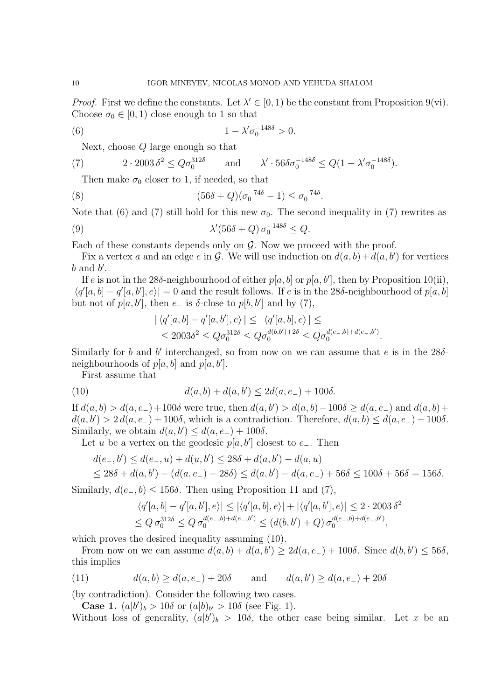*Proof.* First we define the constants. Let  $\lambda' \in [0, 1)$  be the constant from Proposition 9(vi). Choose  $\sigma_0 \in [0, 1)$  close enough to 1 so that

(6) 
$$
1 - \lambda' \sigma_0^{-148\delta} > 0.
$$

Next, choose Q large enough so that

(7) 
$$
2 \cdot 2003 \delta^2 \le Q \sigma_0^{312\delta} \quad \text{and} \quad \lambda' \cdot 56 \delta \sigma_0^{-148\delta} \le Q(1 - \lambda' \sigma_0^{-148\delta}).
$$

Then make  $\sigma_0$  closer to 1, if needed, so that

(8) 
$$
(56\delta + Q)(\sigma_0^{-74\delta} - 1) \le \sigma_0^{-74\delta}.
$$

Note that (6) and (7) still hold for this new  $\sigma_0$ . The second inequality in (7) rewrites as

(9) 
$$
\lambda'(56\delta + Q) \sigma_0^{-148\delta} \le Q.
$$

Each of these constants depends only on  $G$ . Now we proceed with the proof.

Fix a vertex a and an edge e in G. We will use induction on  $d(a, b) + d(a, b')$  for vertices  $b$  and  $b'$ .

If e is not in the 28 $\delta$ -neighbourhood of either  $p[a, b]$  or  $p[a, b']$ , then by Proposition 10(ii),  $|\langle q'|a, b| - q'|a, b'|, e \rangle| = 0$  and the result follows. If e is in the 28δ-neighbourhood of  $p[a, b]$ but not of  $p[a, b']$ , then  $e_-$  is  $\delta$ -close to  $p[b, b']$  and by (7),

$$
|\langle q'[a,b] - q'[a,b'], e \rangle| \leq |\langle q'[a,b], e \rangle| \leq
$$
  

$$
\leq 2003\delta^2 \leq Q\sigma_0^{312\delta} \leq Q\sigma_0^{d(b,b')+2\delta} \leq Q\sigma_0^{d(e_-,b)+d(e_-,b')}.
$$

Similarly for b and b' interchanged, so from now on we can assume that e is in the  $28\delta$ neighbourhoods of  $p[a, b]$  and  $p[a, b']$ .

First assume that

(10) 
$$
d(a,b) + d(a,b') \le 2d(a,e_-) + 100\delta.
$$

If  $d(a, b) > d(a, e_-) + 100\delta$  were true, then  $d(a, b') > d(a, b) - 100\delta \geq d(a, e_-)$  and  $d(a, b) +$  $d(a, b') > 2 d(a, e_-) + 100\delta$ , which is a contradiction. Therefore,  $d(a, b) \leq d(a, e_-) + 100\delta$ . Similarly, we obtain  $d(a, b') \leq d(a, e_-) + 100\delta$ .

Let u be a vertex on the geodesic  $p[a, b']$  closest to  $e_$ . Then

$$
d(e_-,b') \le d(e_-,u) + d(u,b') \le 28\delta + d(a,b') - d(a,u)
$$
  

$$
\le 28\delta + d(a,b') - (d(a,e_-) - 28\delta) \le d(a,b') - d(a,e_-) + 56\delta \le 100\delta + 56\delta = 156\delta.
$$

Similarly,  $d(e_-, b) \leq 156\delta$ . Then using Proposition 11 and (7),

$$
\begin{aligned} |\langle q'[a,b]-q'[a,b'],e\rangle| &\le |\langle q'[a,b],e\rangle| + |\langle q'[a,b'],e\rangle| \le 2 \cdot 2003 \,\delta^2 \\ &\le Q \,\sigma_0^{312\delta} \le Q \,\sigma_0^{d(e_-,b)+d(e_-,b')} \le (d(b,b')+Q) \,\sigma_0^{d(e_-,b)+d(e_-,b')}, \end{aligned}
$$

which proves the desired inequality assuming  $(10)$ .

From now on we can assume  $d(a, b) + d(a, b') \geq 2d(a, e_-) + 100\delta$ . Since  $d(b, b') \leq 56\delta$ , this implies

(11) 
$$
d(a, b) \ge d(a, e_-) + 20\delta
$$
 and  $d(a, b') \ge d(a, e_-) + 20\delta$ 

(by contradiction). Consider the following two cases.

**Case 1.**  $(a|b')_b > 10\delta$  or  $(a|b)_{b'} > 10\delta$  (see Fig. 1).

Without loss of generality,  $(a|b')_b > 10\delta$ , the other case being similar. Let x be an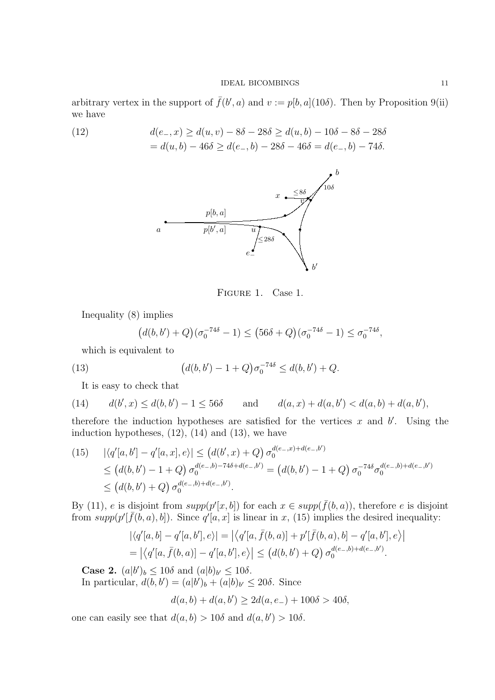arbitrary vertex in the support of  $\bar{f}(b', a)$  and  $v := p[b, a](10\delta)$ . Then by Proposition 9(ii) we have

(12) 
$$
d(e_-, x) \ge d(u, v) - 8\delta - 28\delta \ge d(u, b) - 10\delta - 8\delta - 28\delta
$$

$$
= d(u, b) - 46\delta \ge d(e_-, b) - 28\delta - 46\delta = d(e_-, b) - 74\delta.
$$



Figure 1. Case 1.

Inequality (8) implies

$$
(d(b,b') + Q)(\sigma_0^{-74\delta} - 1) \le (56\delta + Q)(\sigma_0^{-74\delta} - 1) \le \sigma_0^{-74\delta},
$$

which is equivalent to

(13) 
$$
(d(b, b') - 1 + Q)\sigma_0^{-74\delta} \leq d(b, b') + Q.
$$

It is easy to check that

(14) 
$$
d(b',x) \le d(b,b') - 1 \le 56\delta
$$
 and  $d(a,x) + d(a,b') < d(a,b) + d(a,b')$ ,

therefore the induction hypotheses are satisfied for the vertices  $x$  and  $b'$ . Using the induction hypotheses,  $(12)$ ,  $(14)$  and  $(13)$ , we have

$$
(15) \quad |\langle q'[a,b'] - q'[a,x],e \rangle| \le (d(b',x) + Q) \sigma_0^{d(e_-,x) + d(e_-,b')}
$$
  
\n
$$
\le (d(b,b') - 1 + Q) \sigma_0^{d(e_-,b) - 74\delta + d(e_-,b')} = (d(b,b') - 1 + Q) \sigma_0^{-74\delta} \sigma_0^{d(e_-,b) + d(e_-,b')}
$$
  
\n
$$
\le (d(b,b') + Q) \sigma_0^{d(e_-,b) + d(e_-,b')}.
$$

By (11), e is disjoint from  $supp(p'[x, b])$  for each  $x \in supp(\bar{f}(b, a))$ , therefore e is disjoint from  $\sup p(p' | \bar{f}(b, a), b|)$ . Since  $q' [a, x]$  is linear in x, (15) implies the desired inequality:

$$
|\langle q'[a,b] - q'[a,b'],e \rangle| = |\langle q'[a,\bar{f}(b,a)] + p'[\bar{f}(b,a),b] - q'[a,b'],e \rangle|
$$
  
=  $|\langle q'[a,\bar{f}(b,a)] - q'[a,b'],e \rangle| \leq (d(b,b') + Q) \sigma_0^{d(e-,b)+d(e-,b')}.$ 

**Case 2.**  $(a|b')_b \le 10\delta$  and  $(a|b)_{b'} \le 10\delta$ .

In particular,  $\overline{d(b, b')} = (a|b')_b + (a|b)_{b'} \le 20\delta$ . Since

$$
d(a, b) + d(a, b') \ge 2d(a, e_-) + 100\delta > 40\delta,
$$

one can easily see that  $d(a, b) > 10\delta$  and  $d(a, b') > 10\delta$ .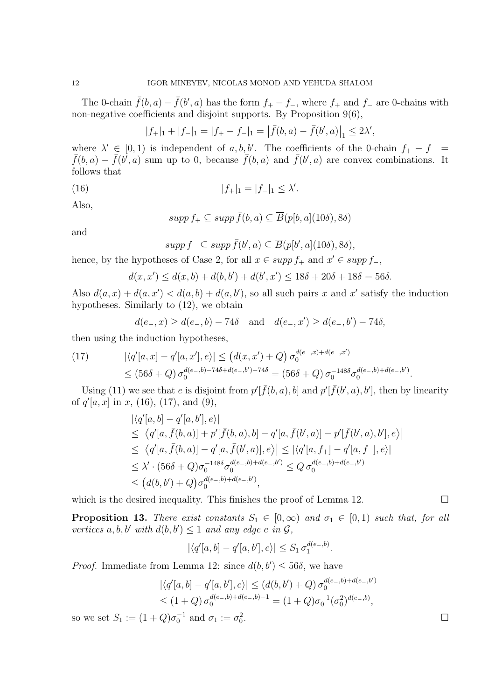The 0-chain  $\bar{f}(b, a) - \bar{f}(b', a)$  has the form  $f_+ - f_-$ , where  $f_+$  and  $f_-$  are 0-chains with non-negative coefficients and disjoint supports. By Proposition 9(6),

$$
|f_+|_1 + |f_-|_1 = |f_+ - f_-|_1 = |\bar{f}(b, a) - \bar{f}(b', a)|_1 \le 2\lambda',
$$

where  $\lambda' \in [0,1)$  is independent of a, b, b'. The coefficients of the 0-chain  $f_+ - f_ \bar{f}(b,a) - \bar{f}(b',a)$  sum up to 0, because  $\bar{f}(b,a)$  and  $\bar{f}(b',a)$  are convex combinations. It follows that

(16) 
$$
|f_+|_1 = |f_-|_1 \le \lambda'.
$$

Also,

$$
supp f_+ \subseteq supp \bar{f}(b, a) \subseteq \overline{B}(p[b, a](10\delta), 8\delta)
$$

and

$$
supp f_- \subseteq supp \overline{f}(b', a) \subseteq \overline{B}(p[b', a](10\delta), 8\delta),
$$

hence, by the hypotheses of Case 2, for all  $x \in supp f_+$  and  $x' \in supp f_-,$ 

$$
d(x, x') \le d(x, b) + d(b, b') + d(b', x') \le 18\delta + 20\delta + 18\delta = 56\delta.
$$

Also  $d(a, x) + d(a, x') < d(a, b) + d(a, b')$ , so all such pairs x and x' satisfy the induction hypotheses. Similarly to (12), we obtain

$$
d(e_-, x) \ge d(e_-, b) - 74\delta
$$
 and  $d(e_-, x') \ge d(e_-, b') - 74\delta$ ,

then using the induction hypotheses,

(17) 
$$
|\langle q'[a,x] - q'[a,x'],e \rangle| \le (d(x,x') + Q) \sigma_0^{d(e_-,x) + d(e_-,x')} \le (56\delta + Q) \sigma_0^{d(e_-,b) - 74\delta + d(e_-,b') - 74\delta} = (56\delta + Q) \sigma_0^{-148\delta} \sigma_0^{d(e_-,b) + d(e_-,b')}.
$$

Using (11) we see that e is disjoint from  $p'[\bar{f}(b, a), b]$  and  $p'[\bar{f}(b', a), b']$ , then by linearity of  $q'[a, x]$  in x, (16), (17), and (9),

$$
\begin{aligned} &|\langle q'[a,b]-q'[a,b'],e\rangle|\\ &\leq |\langle q'[a,\bar{f}(b,a)]+p'[\bar{f}(b,a),b]-q'[a,\bar{f}(b',a)]-p'[\bar{f}(b',a),b'],e\rangle|\\ &\leq |\langle q'[a,\bar{f}(b,a)]-q'[a,\bar{f}(b',a)],e\rangle| \leq |\langle q'[a,f_{+}]-q'[a,f_{-}],e\rangle|\\ &\leq \lambda' \cdot (56\delta + Q)\sigma_0^{-148\delta} \sigma_0^{d(e_{-},b)+d(e_{-},b')} \leq Q \sigma_0^{d(e_{-},b)+d(e_{-},b')}\\ &\leq (d(b,b')+Q)\sigma_0^{d(e_{-},b)+d(e_{-},b')}, \end{aligned}
$$

which is the desired inequality. This finishes the proof of Lemma 12.  $\Box$ 

**Proposition 13.** There exist constants  $S_1 \in [0,\infty)$  and  $\sigma_1 \in [0,1)$  such that, for all vertices a, b, b' with  $d(b, b') \leq 1$  and any edge e in  $\mathcal{G},$ 

$$
|\langle q'[a,b]-q'[a,b'],e\rangle| \leq S_1 \sigma_1^{d(e_-,b)}.
$$

*Proof.* Immediate from Lemma 12: since  $d(b, b') \le 56\delta$ , we have

$$
\begin{aligned} |\langle q'[a,b]-q'[a,b'],e\rangle| &\le (d(b,b')+Q)\,\sigma_0^{d(e_-,b)+d(e_-,b')}\\ &\le (1+Q)\,\sigma_0^{d(e_-,b)+d(e_-,b)-1} &= (1+Q)\sigma_0^{-1}(\sigma_0^2)^{d(e_-,b)}, \end{aligned}
$$

so we set  $S_1 := (1+Q)\sigma_0^{-1}$  and  $\sigma_1 := \sigma_0^2$ .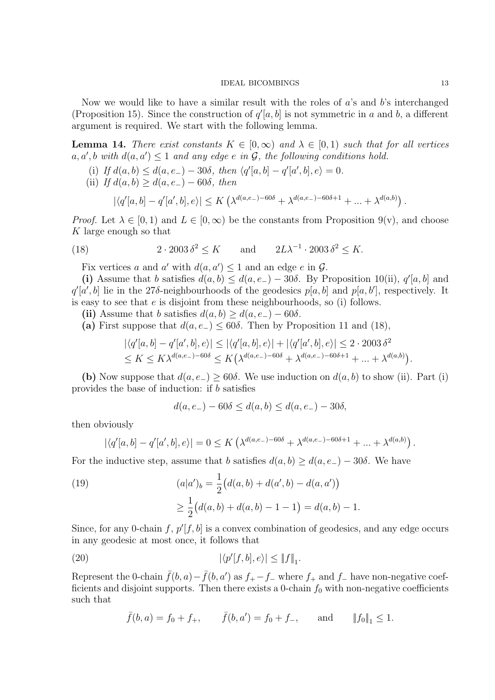Now we would like to have a similar result with the roles of  $a$ 's and  $b$ 's interchanged (Proposition 15). Since the construction of  $q'[a, b]$  is not symmetric in a and b, a different argument is required. We start with the following lemma.

**Lemma 14.** There exist constants  $K \in [0,\infty)$  and  $\lambda \in [0,1)$  such that for all vertices  $a, a', b \text{ with } d(a, a') \leq 1 \text{ and any edge } e \text{ in } G,$  the following conditions hold.

- (i) If  $d(a, b) \leq d(a, e_-) 30\delta$ , then  $\langle q' [a, b] q' [a', b], e \rangle = 0$ .
- (ii) If  $d(a, b) \geq d(a, e_-) 60\delta$ , then

$$
|\langle q'[a,b] - q'[a',b],e\rangle| \le K\left(\lambda^{d(a,e_-)-60\delta} + \lambda^{d(a,e_-)-60\delta+1} + ... + \lambda^{d(a,b)}\right).
$$

*Proof.* Let  $\lambda \in [0, 1)$  and  $L \in [0, \infty)$  be the constants from Proposition 9(v), and choose K large enough so that

(18) 
$$
2 \cdot 2003 \delta^2 \le K \quad \text{and} \quad 2L\lambda^{-1} \cdot 2003 \delta^2 \le K.
$$

Fix vertices a and a' with  $d(a, a') \leq 1$  and an edge e in  $\mathcal{G}$ .

(i) Assume that b satisfies  $d(a, b) \leq d(a, e) - 30\delta$ . By Proposition 10(ii),  $q'[a, b]$  and  $q'[\hat{a}',\hat{b}]$  lie in the 27 $\delta$ -neighbourhoods of the geodesics  $p[\hat{a},\hat{b}]$  and  $p[\hat{a},\hat{b}']$ , respectively. It is easy to see that e is disjoint from these neighbourhoods, so (i) follows.

(ii) Assume that b satisfies  $d(a, b) \geq d(a, e_-) - 60\delta$ .

(a) First suppose that  $d(a, e_{-}) \leq 60\delta$ . Then by Proposition 11 and (18),

$$
|\langle q'[a,b] - q'[a',b],e \rangle| \leq |\langle q'[a,b],e \rangle| + |\langle q'[a',b],e \rangle| \leq 2 \cdot 2003 \delta^2
$$
  

$$
\leq K \leq K\lambda^{d(a,e_-)-60\delta} \leq K(\lambda^{d(a,e_-)-60\delta} + \lambda^{d(a,e_-)-60\delta+1} + ... + \lambda^{d(a,b)}).
$$

(b) Now suppose that  $d(a, e_{-}) > 60\delta$ . We use induction on  $d(a, b)$  to show (ii). Part (i) provides the base of induction: if b satisfies

$$
d(a, e_{-}) - 60\delta \le d(a, b) \le d(a, e_{-}) - 30\delta,
$$

then obviously

$$
|\langle q'[a,b] - q'[a',b],e \rangle| = 0 \le K \left(\lambda^{d(a,e_-)-60\delta} + \lambda^{d(a,e_-)-60\delta+1} + \dots + \lambda^{d(a,b)}\right).
$$

For the inductive step, assume that b satisfies  $d(a, b) \geq d(a, e_-) - 30\delta$ . We have

(19) 
$$
(a|a')_b = \frac{1}{2} (d(a,b) + d(a',b) - d(a,a'))
$$

$$
\geq \frac{1}{2} (d(a,b) + d(a,b) - 1 - 1) = d(a,b) - 1.
$$

Since, for any 0-chain  $f, p'[f, b]$  is a convex combination of geodesics, and any edge occurs in any geodesic at most once, it follows that

(20) 
$$
|\langle p'[f,b],e\rangle| \leq \|f\|_1.
$$

Represent the 0-chain  $\bar{f}(b, a) - \bar{f}(b, a')$  as  $f_+ - f_-$  where  $f_+$  and  $f_-$  have non-negative coefficients and disjoint supports. Then there exists a 0-chain  $f_0$  with non-negative coefficients such that

$$
\bar{f}(b, a) = f_0 + f_+, \qquad \bar{f}(b, a') = f_0 + f_-, \qquad \text{and} \qquad ||f_0||_1 \leq 1.
$$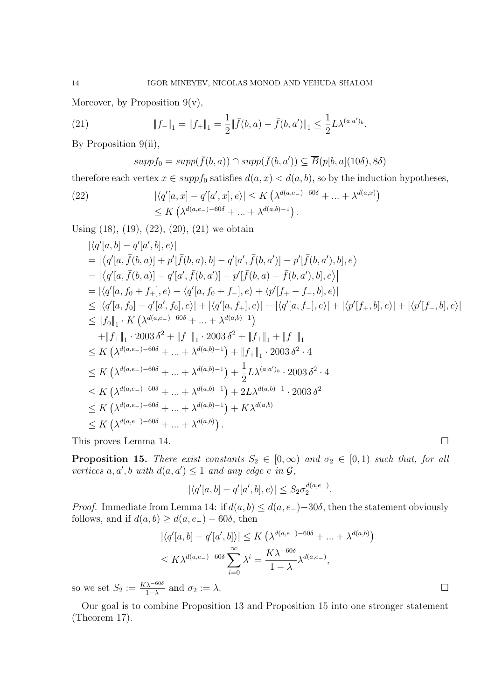Moreover, by Proposition  $9(v)$ ,

(21) 
$$
\|f_{-}\|_{1} = \|f_{+}\|_{1} = \frac{1}{2} \|\bar{f}(b, a) - \bar{f}(b, a')\|_{1} \leq \frac{1}{2} L \lambda^{(a|a')b}.
$$

By Proposition 9(ii),

$$
supp f_0 = supp(\bar{f}(b, a)) \cap supp(\bar{f}(b, a')) \subseteq \overline{B}(p[b, a](10\delta), 8\delta)
$$

therefore each vertex  $x \in supp f_0$  satisfies  $d(a, x) < d(a, b)$ , so by the induction hypotheses,

(22) 
$$
|\langle q'[a, x] - q'[a', x], e \rangle| \le K \left(\lambda^{d(a, e_{-}) - 60\delta} + ... + \lambda^{d(a, x)}\right) \le K \left(\lambda^{d(a, e_{-}) - 60\delta} + ... + \lambda^{d(a, b) - 1}\right).
$$

Using (18), (19), (22), (20), (21) we obtain

$$
\begin{split}\n& |\langle q'[a,b] - q'[a',b],e \rangle| \\
&= |\langle q'[a,\bar{f}(b,a)] + p'[\bar{f}(b,a),b] - q'[a',\bar{f}(b,a')] - p'[\bar{f}(b,a'),b],e \rangle| \\
&= |\langle q'[a,\bar{f}(b,a)] - q'[a',\bar{f}(b,a')] + p'[\bar{f}(b,a) - \bar{f}(b,a'),b],e \rangle| \\
&= |\langle q'[a,f_0+f_+],e \rangle - \langle q'[a,f_0+f_-],e \rangle + \langle p'[f_+-f_-,b],e \rangle| \\
&\leq |\langle q'[a,f_0] - q'[a',f_0],e \rangle| + |\langle q'[a,f_+],e \rangle| + |\langle q'[a,f_-],e \rangle| + |\langle p'[f_+,b],e \rangle| + |\langle p'[f_-,b],e \rangle| \\
&\leq \|f_0\|_1 \cdot K \left( \lambda^{d(a,e_-)-60\delta} + \ldots + \lambda^{d(a,b)-1} \right) \\
&+ \|f_+\|_1 \cdot 2003 \delta^2 + \|f_-\|_1 \cdot 2003 \delta^2 + \|f_+\|_1 + \|f_-\|_1 \\
&\leq K \left( \lambda^{d(a,e_-)-60\delta} + \ldots + \lambda^{d(a,b)-1} \right) + \|f_+\|_1 \cdot 2003 \delta^2 \cdot 4 \\
&\leq K \left( \lambda^{d(a,e_-)-60\delta} + \ldots + \lambda^{d(a,b)-1} \right) + \frac{1}{2} L \lambda^{(a|a')b} \cdot 2003 \delta^2 \cdot 4 \\
&\leq K \left( \lambda^{d(a,e_-)-60\delta} + \ldots + \lambda^{d(a,b)-1} \right) + 2L \lambda^{d(a,b)-1} \cdot 2003 \delta^2 \\
&\leq K \left( \lambda^{d(a,e_-)-60\delta} + \ldots + \lambda^{d(a,b)-1} \right) + K \lambda^{d(a,b)} \\
&\leq K \left( \lambda^{d(a,e_-)-60\delta} + \ldots + \lambda^{d(a,b)} \right).\n\end{split}
$$

This proves Lemma 14.

**Proposition 15.** There exist constants  $S_2 \in [0, \infty)$  and  $\sigma_2 \in [0, 1)$  such that, for all vertices a, a', b with  $d(a, a') \leq 1$  and any edge e in  $\mathcal{G}$ ,

$$
|\langle q'[a,b]-q'[a',b],e\rangle|\leq S_2\sigma_2^{d(a,e_-)}.
$$

*Proof.* Immediate from Lemma 14: if  $d(a, b) \leq d(a, e_-) - 30\delta$ , then the statement obviously follows, and if  $d(a, b) \geq d(a, e_{-}) - 60\delta$ , then

$$
|\langle q'[a,b] - q'[a',b] \rangle| \le K \left(\lambda^{d(a,e_-)-60\delta} + \dots + \lambda^{d(a,b)}\right)
$$
  

$$
\le K\lambda^{d(a,e_-)-60\delta} \sum_{i=0}^{\infty} \lambda^i = \frac{K\lambda^{-60\delta}}{1-\lambda} \lambda^{d(a,e_-)},
$$

so we set  $S_2 := \frac{K\lambda^{-60\delta}}{1-\lambda}$  and  $\sigma_2 := \lambda$ .

Our goal is to combine Proposition 13 and Proposition 15 into one stronger statement (Theorem 17).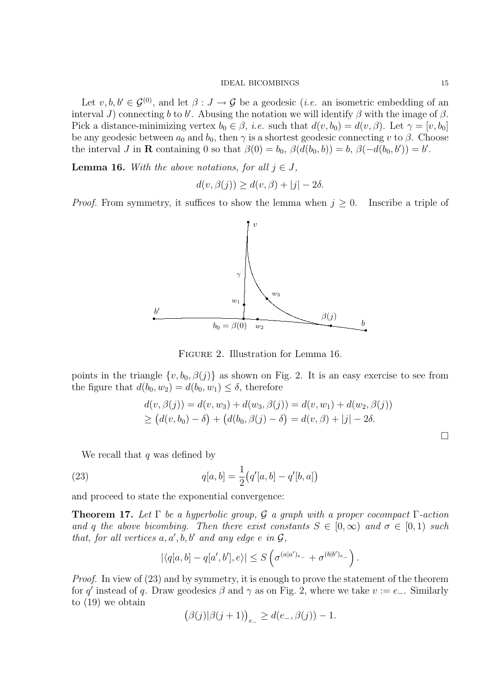Let  $v, b, b' \in \mathcal{G}^{(0)}$ , and let  $\beta : J \to \mathcal{G}$  be a geodesic (*i.e.* an isometric embedding of an interval J) connecting b to b'. Abusing the notation we will identify  $\beta$  with the image of  $\beta$ . Pick a distance-minimizing vertex  $b_0 \in \beta$ , *i.e.* such that  $d(v, b_0) = d(v, \beta)$ . Let  $\gamma = [v, b_0]$ be any geodesic between  $a_0$  and  $b_0$ , then  $\gamma$  is a shortest geodesic connecting v to  $\beta$ . Choose the interval J in **R** containing 0 so that  $\beta(0) = b_0$ ,  $\beta(d(b_0, b)) = b$ ,  $\beta(-d(b_0, b')) = b'$ .

**Lemma 16.** With the above notations, for all  $j \in J$ ,

$$
d(v, \beta(j)) \ge d(v, \beta) + |j| - 2\delta.
$$

*Proof.* From symmetry, it suffices to show the lemma when  $j \geq 0$ . Inscribe a triple of



Figure 2. Illustration for Lemma 16.

points in the triangle  $\{v, b_0, \beta(j)\}\$ as shown on Fig. 2. It is an easy exercise to see from the figure that  $d(b_0, w_2) = d(b_0, w_1) \leq \delta$ , therefore

$$
d(v, \beta(j)) = d(v, w_3) + d(w_3, \beta(j)) = d(v, w_1) + d(w_2, \beta(j))
$$
  
\n
$$
\geq (d(v, b_0) - \delta) + (d(b_0, \beta(j) - \delta) = d(v, \beta) + |j| - 2\delta.
$$

We recall that  $q$  was defined by

(23) 
$$
q[a,b] = \frac{1}{2}(q'[a,b] - q'[b,a])
$$

and proceed to state the exponential convergence:

**Theorem 17.** Let  $\Gamma$  be a hyperbolic group, G a graph with a proper cocompact  $\Gamma$ -action and q the above bicombing. Then there exist constants  $S \in [0,\infty)$  and  $\sigma \in [0,1)$  such that, for all vertices  $a, a', b, b'$  and any edge e in  $\mathcal{G},$ 

$$
|\langle q[a,b]-q[a',b'],e\rangle| \leq S\left(\sigma^{(a|a')_{e_-}} + \sigma^{(b|b')_{e_-}}\right).
$$

Proof. In view of (23) and by symmetry, it is enough to prove the statement of the theorem for q' instead of q. Draw geodesics  $\beta$  and  $\gamma$  as on Fig. 2, where we take  $v := e_-\$ . Similarly to (19) we obtain

$$
(\beta(j)|\beta(j+1))_{e_{-}} \geq d(e_{-},\beta(j)) - 1.
$$

 $\Box$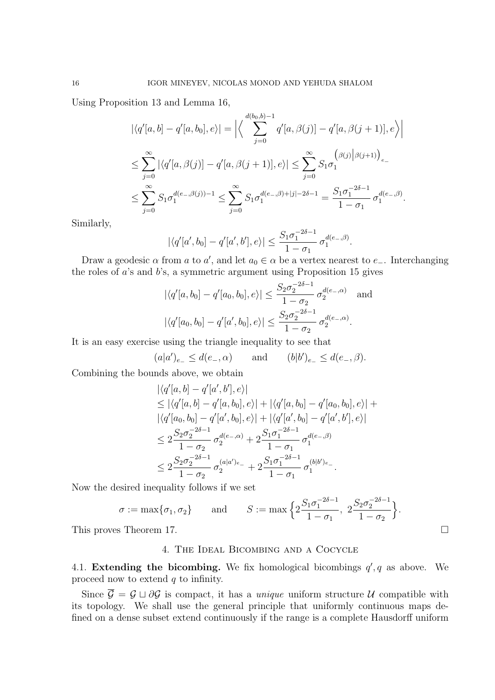Using Proposition 13 and Lemma 16,

$$
\left| \langle q'[a,b] - q'[a,b_0], e \rangle \right| = \left| \left\langle \sum_{j=0}^{d(b_0,b)-1} q'[a,\beta(j)] - q'[a,\beta(j+1)], e \rangle \right| \right|
$$
  

$$
\leq \sum_{j=0}^{\infty} \left| \langle q'[a,\beta(j)] - q'[a,\beta(j+1)], e \rangle \right| \leq \sum_{j=0}^{\infty} S_1 \sigma_1^{(\beta(j)|\beta(j+1))} e_-
$$
  

$$
\leq \sum_{j=0}^{\infty} S_1 \sigma_1^{d(e_-,\beta(j))-1} \leq \sum_{j=0}^{\infty} S_1 \sigma_1^{d(e_-,\beta)+|j|-2\delta-1} = \frac{S_1 \sigma_1^{-2\delta-1}}{1-\sigma_1} \sigma_1^{d(e_-,\beta)}.
$$

Similarly,

$$
|\langle q'[a', b_0] - q'[a', b'], e \rangle| \le \frac{S_1 \sigma_1^{-2\delta - 1}}{1 - \sigma_1} \sigma_1^{d(e_-, \beta)}.
$$

Draw a geodesic  $\alpha$  from a to a', and let  $a_0 \in \alpha$  be a vertex nearest to e\_. Interchanging the roles of a's and b's, a symmetric argument using Proposition 15 gives

$$
|\langle q'[a, b_0] - q'[a_0, b_0], e \rangle| \le \frac{S_2 \sigma_2^{-2\delta - 1}}{1 - \sigma_2} \sigma_2^{d(e_{-}, \alpha)} \quad \text{and}
$$
  

$$
|\langle q'[a_0, b_0] - q'[a', b_0], e \rangle| \le \frac{S_2 \sigma_2^{-2\delta - 1}}{1 - \sigma_2} \sigma_2^{d(e_{-}, \alpha)}.
$$

It is an easy exercise using the triangle inequality to see that

$$
(a|a')_{e_{-}} \leq d(e_{-}, \alpha)
$$
 and  $(b|b')_{e_{-}} \leq d(e_{-}, \beta)$ .

Combining the bounds above, we obtain

$$
\begin{split}\n&|\langle q'[a,b]-q'[a',b'],e\rangle| \\
&\leq |\langle q'[a,b]-q'[a,b_0],e\rangle| + |\langle q'[a,b_0]-q'[a_0,b_0],e\rangle| + \\
&|\langle q'[a_0,b_0]-q'[a',b_0],e\rangle| + |\langle q'[a',b_0]-q'[a',b'],e\rangle| \\
&\leq 2\frac{S_2\sigma_2^{-2\delta-1}}{1-\sigma_2}\sigma_2^{d(e_-, \alpha)} + 2\frac{S_1\sigma_1^{-2\delta-1}}{1-\sigma_1}\sigma_1^{d(e_-, \beta)} \\
&\leq 2\frac{S_2\sigma_2^{-2\delta-1}}{1-\sigma_2}\sigma_2^{(a|a')_{e_-}} + 2\frac{S_1\sigma_1^{-2\delta-1}}{1-\sigma_1}\sigma_1^{(b|b')_{e_-}}.\n\end{split}
$$

Now the desired inequality follows if we set

$$
\sigma := \max\{\sigma_1, \sigma_2\}
$$
 and  $S := \max\left\{2\frac{S_1\sigma_1^{-2\delta - 1}}{1 - \sigma_1}, 2\frac{S_2\sigma_2^{-2\delta - 1}}{1 - \sigma_2}\right\}.$ 

This proves Theorem 17.

# 4. The Ideal Bicombing and a Cocycle

4.1. Extending the bicombing. We fix homological bicombings  $q'$ , q as above. We proceed now to extend  $q$  to infinity.

Since  $\overline{\mathcal{G}} = \mathcal{G} \sqcup \partial \mathcal{G}$  is compact, it has a *unique* uniform structure U compatible with its topology. We shall use the general principle that uniformly continuous maps defined on a dense subset extend continuously if the range is a complete Hausdorff uniform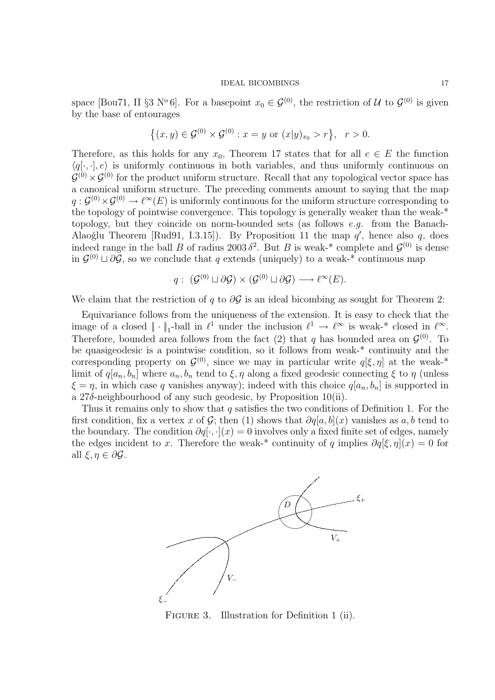space [Bou71, II §3 N°6]. For a basepoint  $x_0 \in \mathcal{G}^{(0)}$ , the restriction of U to  $\mathcal{G}^{(0)}$  is given by the base of entourages

$$
\{(x,y)\in \mathcal{G}^{(0)}\times \mathcal{G}^{(0)} : x=y \text{ or } (x|y)_{x_0}>r\}, \ \ r>0.
$$

Therefore, as this holds for any  $x_0$ , Theorem 17 states that for all  $e \in E$  the function  $\langle q[\cdot, \cdot], e \rangle$  is uniformly continuous in both variables, and thus uniformly continuous on  $\mathcal{G}^{(0)} \times \mathcal{G}^{(0)}$  for the product uniform structure. Recall that any topological vector space has a canonical uniform structure. The preceding comments amount to saying that the map  $q: \mathcal{G}^{(0)} \times \mathcal{G}^{(0)} \to \ell^{\infty}(E)$  is uniformly continuous for the uniform structure corresponding to the topology of pointwise convergence. This topology is generally weaker than the weak-\* topology, but they coincide on norm-bounded sets (as follows e.g. from the Banach-Alaoğlu Theorem [Rud91, I.3.15]). By Proposition 11 the map  $q'$ , hence also q, does indeed range in the ball B of radius 2003  $\delta^2$ . But B is weak-\* complete and  $\mathcal{G}^{(0)}$  is dense in  $\mathcal{G}^{(0)} \sqcup \partial \mathcal{G}$ , so we conclude that q extends (uniquely) to a weak-\* continuous map

$$
q:\;({\mathcal G}^{(0)}\sqcup\partial{\mathcal G})\times({\mathcal G}^{(0)}\sqcup\partial{\mathcal G})\longrightarrow\ell^\infty(E).
$$

We claim that the restriction of q to  $\partial G$  is an ideal bicombing as sought for Theorem 2:

Equivariance follows from the uniqueness of the extension. It is easy to check that the image of a closed  $\|\cdot\|_1$ -ball in  $\ell^1$  under the inclusion  $\ell^1 \to \ell^\infty$  is weak-\* closed in  $\ell^\infty$ . Therefore, bounded area follows from the fact (2) that q has bounded area on  $\mathcal{G}^{(0)}$ . To be quasigeodesic is a pointwise condition, so it follows from weak-\* continuity and the corresponding property on  $\mathcal{G}^{(0)}$ , since we may in particular write  $q[\xi, \eta]$  at the weak-\* limit of  $q[a_n, b_n]$  where  $a_n, b_n$  tend to  $\xi, \eta$  along a fixed geodesic connecting  $\xi$  to  $\eta$  (unless  $\xi = \eta$ , in which case q vanishes anyway); indeed with this choice  $q[a_n, b_n]$  is supported in a 27δ-neighbourhood of any such geodesic, by Proposition 10(ii).

Thus it remains only to show that q satisfies the two conditions of Definition 1. For the first condition, fix a vertex x of  $\mathcal{G}$ ; then (1) shows that  $\partial q[a, b](x)$  vanishes as  $a, b$  tend to the boundary. The condition  $\partial q[\cdot,\cdot](x) = 0$  involves only a fixed finite set of edges, namely the edges incident to x. Therefore the weak-\* continuity of q implies  $\partial q[\xi, \eta](x) = 0$  for all  $\xi, \eta \in \partial \mathcal{G}$ .



FIGURE 3. Illustration for Definition 1 (ii).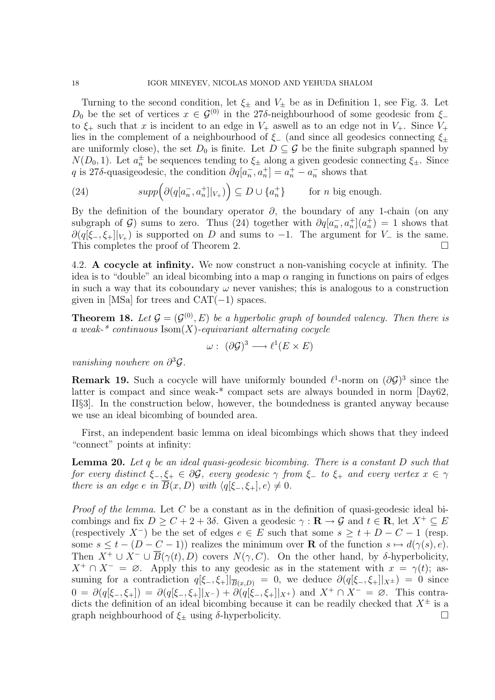Turning to the second condition, let  $\xi_{\pm}$  and  $V_{\pm}$  be as in Definition 1, see Fig. 3. Let D<sub>0</sub> be the set of vertices  $x \in \mathcal{G}^{(0)}$  in the 27δ-neighbourhood of some geodesic from  $\xi$ to  $\xi_{+}$  such that x is incident to an edge in  $V_{+}$  aswell as to an edge not in  $V_{+}$ . Since  $V_{+}$ lies in the complement of a neighbourhood of  $\xi$  (and since all geodesics connecting  $\xi$ <sup>±</sup> are uniformly close), the set  $D_0$  is finite. Let  $D \subseteq \mathcal{G}$  be the finite subgraph spanned by  $N(D_0, 1)$ . Let  $a_n^{\pm}$  be sequences tending to  $\xi_{\pm}$  along a given geodesic connecting  $\xi_{\pm}$ . Since q is 27δ-quasigeodesic, the condition  $\partial q a_n$  $\left[ a_n, a_n^+ \right] = a_n^+ - a_n^ \overline{n}$  shows that

(24) 
$$
supp\Big(\partial(q[a_n^-,a_n^+]|_{V_+})\Big) \subseteq D \cup \{a_n^+\} \quad \text{for } n \text{ big enough.}
$$

By the definition of the boundary operator  $\partial$ , the boundary of any 1-chain (on any subgraph of G) sums to zero. Thus (24) together with  $\partial q | a_n$  $\frac{1}{n}, a_n^+$  $(a_n^+) = 1$  shows that  $\partial(q[\xi_-, \xi_+]|_{V_+})$  is supported on D and sums to -1. The argument for  $V_-$  is the same. This completes the proof of Theorem 2.

4.2. A cocycle at infinity. We now construct a non-vanishing cocycle at infinity. The idea is to "double" an ideal bicombing into a map  $\alpha$  ranging in functions on pairs of edges in such a way that its coboundary  $\omega$  never vanishes; this is analogous to a construction given in [MSa] for trees and  $CAT(-1)$  spaces.

**Theorem 18.** Let  $\mathcal{G} = (\mathcal{G}^{(0)}, E)$  be a hyperbolic graph of bounded valency. Then there is a weak- $*$  continuous  $\text{Isom}(X)$ -equivariant alternating cocycle

$$
\omega: (\partial \mathcal{G})^3 \longrightarrow \ell^1(E \times E)
$$

vanishing nowhere on  $\partial^3 \mathcal{G}$ .

**Remark 19.** Such a cocycle will have uniformly bounded  $\ell^1$ -norm on  $(\partial \mathcal{G})^3$  since the latter is compact and since weak-\* compact sets are always bounded in norm [Day62, II§3]. In the construction below, however, the boundedness is granted anyway because we use an ideal bicombing of bounded area.

First, an independent basic lemma on ideal bicombings which shows that they indeed "connect" points at infinity:

**Lemma 20.** Let q be an ideal quasi-geodesic bicombing. There is a constant  $D$  such that for every distinct  $\xi_-, \xi_+ \in \partial \mathcal{G}$ , every geodesic  $\gamma$  from  $\xi_-$  to  $\xi_+$  and every vertex  $x \in \gamma$ there is an edge e in  $\overline{B}(x, D)$  with  $\langle q|\xi_-, \xi_+|, e \rangle \neq 0$ .

*Proof of the lemma.* Let  $C$  be a constant as in the definition of quasi-geodesic ideal bicombings and fix  $D \geq C + 2 + 3\delta$ . Given a geodesic  $\gamma : \mathbf{R} \to \mathcal{G}$  and  $t \in \mathbf{R}$ , let  $X^+ \subseteq E$ (respectively X<sup>-</sup>) be the set of edges  $e \in E$  such that some  $s \geq t + D - C - 1$  (resp. some  $s \leq t - (D - C - 1)$  realizes the minimum over **R** of the function  $s \mapsto d(\gamma(s), e)$ . Then  $X^+ \cup X^- \cup \overline{B}(\gamma(t), D)$  covers  $N(\gamma, C)$ . On the other hand, by δ-hyperbolicity,  $X^+ \cap X^- = \emptyset$ . Apply this to any geodesic as in the statement with  $x = \gamma(t)$ ; assuming for a contradiction  $q[\xi_-, \xi_+]|_{\overline{B}(x,D)} = 0$ , we deduce  $\partial(q[\xi_-, \xi_+]|_{X^{\pm}}) = 0$  since  $0 = \partial(q[\xi_-, \xi_+]) = \partial(q[\xi_-, \xi_+]|_{X^-}) + \partial(q[\xi_-, \xi_+]|_{X^+})$  and  $X^+ \cap X^- = \emptyset$ . This contradicts the definition of an ideal bicombing because it can be readily checked that  $X^{\pm}$  is a graph neighbourhood of  $\xi_{\pm}$  using  $\delta$ -hyperbolicity.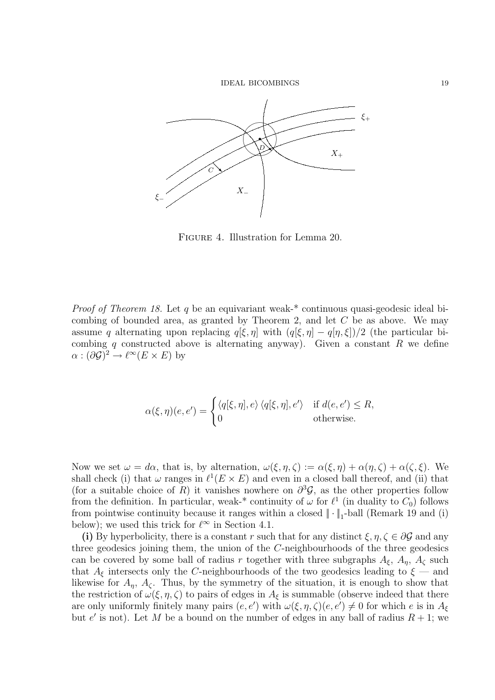

Figure 4. Illustration for Lemma 20.

*Proof of Theorem 18.* Let q be an equivariant weak-\* continuous quasi-geodesic ideal bicombing of bounded area, as granted by Theorem 2, and let  $C$  be as above. We may assume q alternating upon replacing  $q[\xi, \eta]$  with  $(q[\xi, \eta] - q[\eta, \xi])/2$  (the particular bicombing q constructed above is alternating anyway). Given a constant  $R$  we define  $\alpha : (\partial \mathcal{G})^2 \to \ell^{\infty}(E \times E)$  by

$$
\alpha(\xi,\eta)(e,e') = \begin{cases} \langle q[\xi,\eta],e\rangle \langle q[\xi,\eta],e'\rangle & \text{if } d(e,e') \leq R, \\ 0 & \text{otherwise.} \end{cases}
$$

Now we set  $\omega = d\alpha$ , that is, by alternation,  $\omega(\xi, \eta, \zeta) := \alpha(\xi, \eta) + \alpha(\eta, \zeta) + \alpha(\zeta, \xi)$ . We shall check (i) that  $\omega$  ranges in  $\ell^1(E \times E)$  and even in a closed ball thereof, and (ii) that (for a suitable choice of R) it vanishes nowhere on  $\partial^3 \mathcal{G}$ , as the other properties follow from the definition. In particular, weak-\* continuity of  $\omega$  for  $\ell^1$  (in duality to  $C_0$ ) follows from pointwise continuity because it ranges within a closed  $\|\cdot\|_1$ -ball (Remark 19 and (i) below); we used this trick for  $\ell^{\infty}$  in Section 4.1.

(i) By hyperbolicity, there is a constant r such that for any distinct  $\xi, \eta, \zeta \in \partial \mathcal{G}$  and any three geodesics joining them, the union of the C-neighbourhoods of the three geodesics can be covered by some ball of radius r together with three subgraphs  $A_{\xi}$ ,  $A_{\eta}$ ,  $A_{\zeta}$  such that  $A_{\xi}$  intersects only the C-neighbourhoods of the two geodesics leading to  $\xi$  — and likewise for  $A_n$ ,  $A_\zeta$ . Thus, by the symmetry of the situation, it is enough to show that the restriction of  $\omega(\xi, \eta, \zeta)$  to pairs of edges in  $A_{\xi}$  is summable (observe indeed that there are only uniformly finitely many pairs  $(e, e')$  with  $\omega(\xi, \eta, \zeta)(e, e') \neq 0$  for which e is in  $A_{\xi}$ but e' is not). Let M be a bound on the number of edges in any ball of radius  $R + 1$ ; we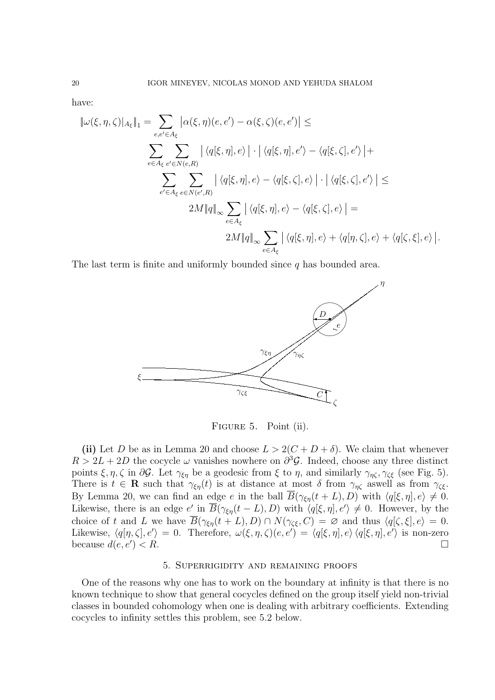have:

$$
\|\omega(\xi,\eta,\zeta)|_{A_{\xi}}\|_{1} = \sum_{e,e'\in A_{\xi}} |\alpha(\xi,\eta)(e,e') - \alpha(\xi,\zeta)(e,e')| \le
$$
  

$$
\sum_{e\in A_{\xi}} \sum_{e'\in N(e,R)} |\langle q[\xi,\eta],e\rangle| \cdot |\langle q[\xi,\eta],e'\rangle - \langle q[\xi,\zeta],e'\rangle| +
$$
  

$$
\sum_{e'\in A_{\xi}} \sum_{e\in N(e',R)} |\langle q[\xi,\eta],e\rangle - \langle q[\xi,\zeta],e\rangle| \cdot |\langle q[\xi,\zeta],e'\rangle| \le
$$
  

$$
2M\|q\|_{\infty} \sum_{e\in A_{\xi}} |\langle q[\xi,\eta],e\rangle - \langle q[\xi,\zeta],e\rangle| =
$$
  

$$
2M\|q\|_{\infty} \sum_{e\in A_{\xi}} |\langle q[\xi,\eta],e\rangle + \langle q[\eta,\zeta],e\rangle + \langle q[\zeta,\xi],e\rangle|.
$$

The last term is finite and uniformly bounded since  $q$  has bounded area.



FIGURE 5. Point (ii).

(ii) Let D be as in Lemma 20 and choose  $L > 2(C + D + \delta)$ . We claim that whenever  $R > 2L + 2D$  the cocycle  $\omega$  vanishes nowhere on  $\partial^3 \mathcal{G}$ . Indeed, choose any three distinct points  $\xi, \eta, \zeta$  in  $\partial \mathcal{G}$ . Let  $\gamma_{\xi\eta}$  be a geodesic from  $\xi$  to  $\eta$ , and similarly  $\gamma_{\eta\zeta}, \gamma_{\zeta\xi}$  (see Fig. 5). There is  $t \in \mathbf{R}$  such that  $\gamma_{\xi\eta}(t)$  is at distance at most  $\delta$  from  $\gamma_{\eta\zeta}$  aswell as from  $\gamma_{\zeta\xi}$ . By Lemma 20, we can find an edge e in the ball  $\overline{B}(\gamma_{\xi\eta}(t+L), D)$  with  $\langle q[\xi, \eta], e \rangle \neq 0$ . Likewise, there is an edge e' in  $\overline{B}(\gamma_{\xi\eta}(t-L), D)$  with  $\langle q[\xi, \eta], e' \rangle \neq 0$ . However, by the choice of t and L we have  $\overline{B}(\gamma_{\xi\eta}(t+L), D) \cap N(\gamma_{\zeta\xi}, C) = \emptyset$  and thus  $\langle q[\zeta, \xi], e \rangle = 0$ . Likewise,  $\langle q[\eta, \zeta], e'\rangle = 0$ . Therefore,  $\omega(\xi, \eta, \zeta)(e, e') = \langle q[\xi, \eta], e'\rangle \langle q[\xi, \eta], e'\rangle$  is non-zero because  $d(e, e') < R$ .  $) < R.$ 

# 5. Superrigidity and remaining proofs

One of the reasons why one has to work on the boundary at infinity is that there is no known technique to show that general cocycles defined on the group itself yield non-trivial classes in bounded cohomology when one is dealing with arbitrary coefficients. Extending cocycles to infinity settles this problem, see 5.2 below.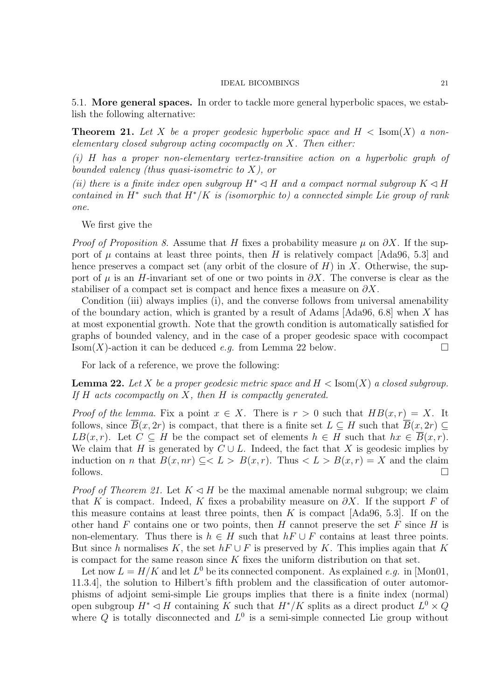5.1. More general spaces. In order to tackle more general hyperbolic spaces, we establish the following alternative:

**Theorem 21.** Let X be a proper geodesic hyperbolic space and  $H < Ismath>Isom(X)$  a nonelementary closed subgroup acting cocompactly on  $X$ . Then either:

(i) H has a proper non-elementary vertex-transitive action on a hyperbolic graph of bounded valency (thus quasi-isometric to  $X$ ), or

(ii) there is a finite index open subgroup  $H^* \lhd H$  and a compact normal subgroup  $K \lhd H$ contained in  $H^*$  such that  $H^*/K$  is (isomorphic to) a connected simple Lie group of rank one.

We first give the

*Proof of Proposition 8.* Assume that H fixes a probability measure  $\mu$  on  $\partial X$ . If the support of  $\mu$  contains at least three points, then H is relatively compact [Ada96, 5.3] and hence preserves a compact set (any orbit of the closure of  $H$ ) in X. Otherwise, the support of  $\mu$  is an H-invariant set of one or two points in  $\partial X$ . The converse is clear as the stabiliser of a compact set is compact and hence fixes a measure on  $\partial X$ .

Condition (iii) always implies (i), and the converse follows from universal amenability of the boundary action, which is granted by a result of Adams [Ada96, 6.8] when X has at most exponential growth. Note that the growth condition is automatically satisfied for graphs of bounded valency, and in the case of a proper geodesic space with cocompact  $\text{Isom}(X)$ -action it can be deduced e.g. from Lemma 22 below.

For lack of a reference, we prove the following:

**Lemma 22.** Let X be a proper geodesic metric space and  $H < Isom(X)$  a closed subgroup. If  $H$  acts cocompactly on  $X$ , then  $H$  is compactly generated.

*Proof of the lemma.* Fix a point  $x \in X$ . There is  $r > 0$  such that  $HB(x,r) = X$ . It follows, since  $\overline{B}(x, 2r)$  is compact, that there is a finite set  $L \subseteq H$  such that  $\overline{B}(x, 2r) \subseteq$  $LB(x,r)$ . Let  $C \subseteq H$  be the compact set of elements  $h \in H$  such that  $hx \in \overline{B}(x,r)$ . We claim that H is generated by  $C \cup L$ . Indeed, the fact that X is geodesic implies by induction on *n* that  $B(x, nr) \subset L > B(x,r)$ . Thus  $\langle L \rangle B(x,r) = X$  and the claim follows.  $\Box$ 

*Proof of Theorem 21.* Let  $K \triangleleft H$  be the maximal amenable normal subgroup; we claim that K is compact. Indeed, K fixes a probability measure on  $\partial X$ . If the support F of this measure contains at least three points, then  $K$  is compact [Ada96, 5.3]. If on the other hand F contains one or two points, then H cannot preserve the set F since H is non-elementary. Thus there is  $h \in H$  such that  $hF \cup F$  contains at least three points. But since h normalises K, the set  $hF \cup F$  is preserved by K. This implies again that K is compact for the same reason since  $K$  fixes the uniform distribution on that set.

Let now  $L = H/K$  and let  $L^0$  be its connected component. As explained e.g. in [Mon01, 11.3.4], the solution to Hilbert's fifth problem and the classification of outer automorphisms of adjoint semi-simple Lie groups implies that there is a finite index (normal) open subgroup  $H^* \lhd H$  containing K such that  $H^*/K$  splits as a direct product  $L^0 \times \hat{Q}$ where Q is totally disconnected and  $L^0$  is a semi-simple connected Lie group without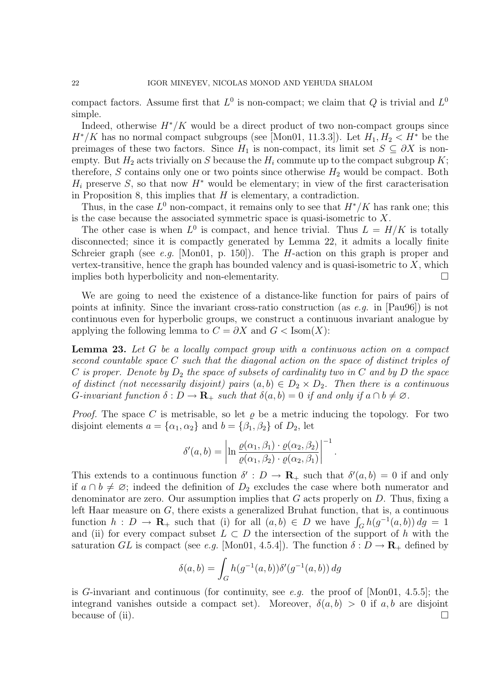compact factors. Assume first that  $L^0$  is non-compact; we claim that Q is trivial and  $L^0$ simple.

Indeed, otherwise  $H^*/K$  would be a direct product of two non-compact groups since  $H^*/K$  has no normal compact subgroups (see [Mon01, 11.3.3]). Let  $H_1, H_2 < H^*$  be the preimages of these two factors. Since  $H_1$  is non-compact, its limit set  $S \subseteq \partial X$  is nonempty. But  $H_2$  acts trivially on S because the  $H_i$  commute up to the compact subgroup K; therefore, S contains only one or two points since otherwise  $H_2$  would be compact. Both  $H_i$  preserve S, so that now  $H^*$  would be elementary; in view of the first caracterisation in Proposition 8, this implies that  $H$  is elementary, a contradiction.

Thus, in the case  $L^0$  non-compact, it remains only to see that  $H^*/K$  has rank one; this is the case because the associated symmetric space is quasi-isometric to X.

The other case is when  $L^0$  is compact, and hence trivial. Thus  $L = H/K$  is totally disconnected; since it is compactly generated by Lemma 22, it admits a locally finite Schreier graph (see e.g. [Mon01, p. 150]). The *H*-action on this graph is proper and vertex-transitive, hence the graph has bounded valency and is quasi-isometric to  $X$ , which implies both hyperbolicity and non-elementarity.

We are going to need the existence of a distance-like function for pairs of pairs of points at infinity. Since the invariant cross-ratio construction (as e.g. in [Pau96]) is not continuous even for hyperbolic groups, we construct a continuous invariant analogue by applying the following lemma to  $C = \partial X$  and  $G < Isom(X)$ :

Lemma 23. Let G be a locally compact group with a continuous action on a compact second countable space C such that the diagonal action on the space of distinct triples of C is proper. Denote by  $D_2$  the space of subsets of cardinality two in C and by D the space of distinct (not necessarily disjoint) pairs  $(a, b) \in D_2 \times D_2$ . Then there is a continuous G-invariant function  $\delta : D \to \mathbf{R}_{+}$  such that  $\delta(a, b) = 0$  if and only if  $a \cap b \neq \emptyset$ .

*Proof.* The space C is metrisable, so let  $\rho$  be a metric inducing the topology. For two disjoint elements  $a = {\alpha_1, \alpha_2}$  and  $b = {\beta_1, \beta_2}$  of  $D_2$ , let

$$
\delta'(a,b) = \left|\ln \frac{\varrho(\alpha_1,\beta_1)\cdot \varrho(\alpha_2,\beta_2)}{\varrho(\alpha_1,\beta_2)\cdot \varrho(\alpha_2,\beta_1)}\right|^{-1}.
$$

This extends to a continuous function  $\delta' : D \to \mathbf{R}_{+}$  such that  $\delta'(a, b) = 0$  if and only if  $a \cap b \neq \emptyset$ ; indeed the definition of  $D_2$  excludes the case where both numerator and denominator are zero. Our assumption implies that  $G$  acts properly on  $D$ . Thus, fixing a left Haar measure on G, there exists a generalized Bruhat function, that is, a continuous function  $h: D \to \mathbf{R}_{+}$  such that (i) for all  $(a, b) \in D$  we have  $\int_{G} h(g^{-1}(a, b)) dg = 1$ and (ii) for every compact subset  $L \subset D$  the intersection of the support of h with the saturation GL is compact (see e.g. [Mon01, 4.5.4]). The function  $\delta : D \to \mathbf{R}_{+}$  defined by

$$
\delta(a, b) = \int_G h(g^{-1}(a, b)) \delta'(g^{-1}(a, b)) \, dg
$$

is G-invariant and continuous (for continuity, see e.g. the proof of [Mon01, 4.5.5]; the integrand vanishes outside a compact set). Moreover,  $\delta(a, b) > 0$  if  $a, b$  are disjoint because of (ii).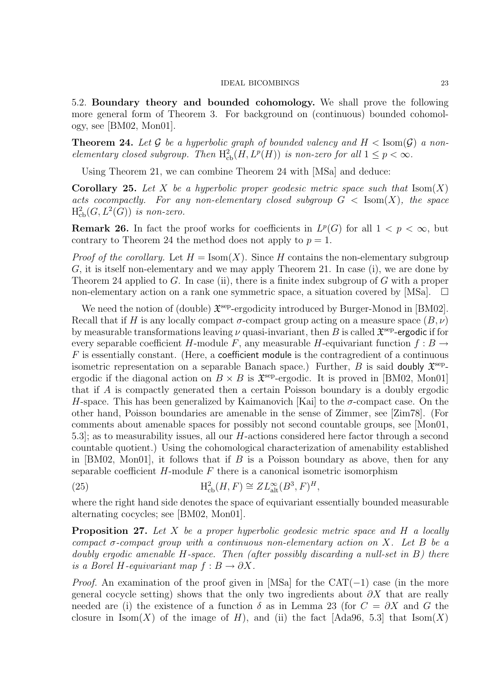5.2. Boundary theory and bounded cohomology. We shall prove the following more general form of Theorem 3. For background on (continuous) bounded cohomology, see [BM02, Mon01].

**Theorem 24.** Let G be a hyperbolic graph of bounded valency and  $H <$  Isom(G) a nonelementary closed subgroup. Then  $H^2_{cb}(H, L^p(H))$  is non-zero for all  $1 \leq p < \infty$ .

Using Theorem 21, we can combine Theorem 24 with [MSa] and deduce:

**Corollary 25.** Let X be a hyperbolic proper geodesic metric space such that  $\text{Isom}(X)$ acts cocompactly. For any non-elementary closed subgroup  $G < Isom(X)$ , the space  $\mathrm{H}^2_{\mathrm{cb}}(G, L^2(G))$  is non-zero.

**Remark 26.** In fact the proof works for coefficients in  $L^p(G)$  for all  $1 < p < \infty$ , but contrary to Theorem 24 the method does not apply to  $p = 1$ .

*Proof of the corollary.* Let  $H = Isom(X)$ . Since H contains the non-elementary subgroup G, it is itself non-elementary and we may apply Theorem 21. In case (i), we are done by Theorem 24 applied to G. In case (ii), there is a finite index subgroup of G with a proper non-elementary action on a rank one symmetric space, a situation covered by [MSa].  $\Box$ 

We need the notion of (double)  $\mathfrak{X}^{\text{sep}}$ -ergodicity introduced by Burger-Monod in [BM02]. Recall that if H is any locally compact  $\sigma$ -compact group acting on a measure space  $(B, \nu)$ by measurable transformations leaving  $\nu$  quasi-invariant, then B is called  $\mathfrak{X}^{\text{sep}}$ -ergodic if for every separable coefficient H-module F, any measurable H-equivariant function  $f : B \to$  $F$  is essentially constant. (Here, a coefficient module is the contragredient of a continuous isometric representation on a separable Banach space.) Further, B is said doubly  $\mathfrak{X}^{\text{sep}}$ . ergodic if the diagonal action on  $B \times B$  is  $\mathfrak{X}^{\text{sep}}$ -ergodic. It is proved in [BM02, Mon01] that if A is compactly generated then a certain Poisson boundary is a doubly ergodic H-space. This has been generalized by Kaimanovich [Kai] to the  $\sigma$ -compact case. On the other hand, Poisson boundaries are amenable in the sense of Zimmer, see [Zim78]. (For comments about amenable spaces for possibly not second countable groups, see [Mon01, 5.3]; as to measurability issues, all our H-actions considered here factor through a second countable quotient.) Using the cohomological characterization of amenability established in  $[BM02, Mon01]$ , it follows that if B is a Poisson boundary as above, then for any separable coefficient  $H$ -module  $F$  there is a canonical isometric isomorphism

(25) 
$$
\mathrm{H}_{\mathrm{cb}}^2(H,F) \cong Z L_{\mathrm{alt}}^{\infty}(B^3,F)^H,
$$

where the right hand side denotes the space of equivariant essentially bounded measurable alternating cocycles; see [BM02, Mon01].

**Proposition 27.** Let X be a proper hyperbolic geodesic metric space and H a locally compact  $\sigma$ -compact group with a continuous non-elementary action on X. Let B be a doubly ergodic amenable  $H$ -space. Then (after possibly discarding a null-set in  $B$ ) there is a Borel H-equivariant map  $f : B \to \partial X$ .

*Proof.* An examination of the proof given in [MSa] for the CAT( $-1$ ) case (in the more general cocycle setting) shows that the only two ingredients about  $\partial X$  that are really needed are (i) the existence of a function  $\delta$  as in Lemma 23 (for  $C = \partial X$  and G the closure in  $\text{Isom}(X)$  of the image of H), and (ii) the fact [Ada96, 5.3] that  $\text{Isom}(X)$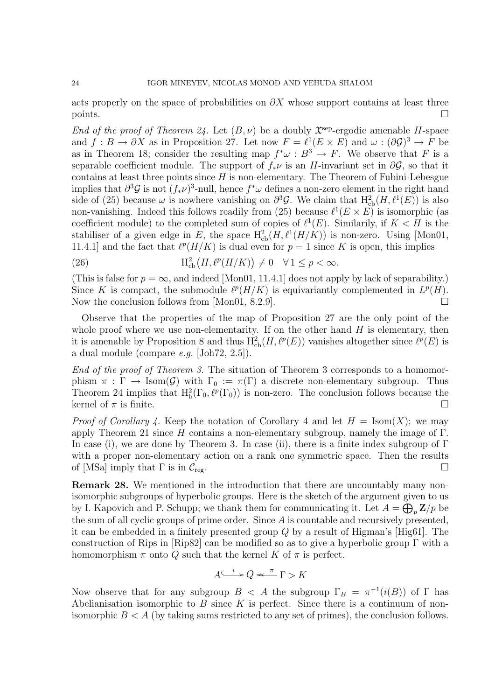acts properly on the space of probabilities on  $\partial X$  whose support contains at least three points.

End of the proof of Theorem 24. Let  $(B, \nu)$  be a doubly  $\mathfrak{X}^{\text{sep}}$ -ergodic amenable H-space and  $f: B \to \partial X$  as in Proposition 27. Let now  $F = \ell^1(E \times E)$  and  $\omega: (\partial \mathcal{G})^3 \to F$  be as in Theorem 18; consider the resulting map  $f^*\omega : B^3 \to F$ . We observe that F is a separable coefficient module. The support of  $f_*\nu$  is an H-invariant set in  $\partial \mathcal{G}$ , so that it contains at least three points since  $H$  is non-elementary. The Theorem of Fubini-Lebesgue implies that  $\partial^3 \mathcal{G}$  is not  $(f_* \nu)^3$ -null, hence  $f^* \omega$  defines a non-zero element in the right hand side of (25) because  $\omega$  is nowhere vanishing on  $\partial^3 \mathcal{G}$ . We claim that  $H^2_{cb}(H,\ell^1(E))$  is also non-vanishing. Indeed this follows readily from (25) because  $\ell^1(E \times E)$  is isomorphic (as coefficient module) to the completed sum of copies of  $\ell^1(E)$ . Similarily, if  $K < H$  is the stabiliser of a given edge in E, the space  $H^2_{\text{cb}}(H,\ell^1(H/K))$  is non-zero. Using [Mon01, 11.4.1 and the fact that  $\ell^p(H/K)$  is dual even for  $p = 1$  since K is open, this implies

(26) 
$$
H_{cb}^{2}(H,\ell^{p}(H/K)) \neq 0 \quad \forall 1 \leq p < \infty.
$$

(This is false for  $p = \infty$ , and indeed [Mon01, 11.4.1] does not apply by lack of separability.) Since K is compact, the submodule  $\ell^p(H/K)$  is equivariantly complemented in  $L^p(H)$ . Now the conclusion follows from [Mon01, 8.2.9].  $\Box$ 

Observe that the properties of the map of Proposition 27 are the only point of the whole proof where we use non-elementarity. If on the other hand  $H$  is elementary, then it is amenable by Proposition 8 and thus  $H^2_{\text{cb}}(H, \ell^p(E))$  vanishes altogether since  $\ell^p(E)$  is a dual module (compare e.g. [Joh72, 2.5]).

End of the proof of Theorem 3. The situation of Theorem 3 corresponds to a homomorphism  $\pi : \Gamma \to \text{Isom}(\mathcal{G})$  with  $\Gamma_0 := \pi(\Gamma)$  a discrete non-elementary subgroup. Thus Theorem 24 implies that  $H_b^2(\Gamma_0, \ell^p(\Gamma_0))$  is non-zero. The conclusion follows because the kernel of  $\pi$  is finite.

*Proof of Corollary 4.* Keep the notation of Corollary 4 and let  $H = \text{Isom}(X)$ ; we may apply Theorem 21 since H contains a non-elementary subgroup, namely the image of  $\Gamma$ . In case (i), we are done by Theorem 3. In case (ii), there is a finite index subgroup of  $\Gamma$ with a proper non-elementary action on a rank one symmetric space. Then the results of [MSa] imply that  $\Gamma$  is in  $\mathcal{C}_{\text{rec}}$ .

Remark 28. We mentioned in the introduction that there are uncountably many nonisomorphic subgroups of hyperbolic groups. Here is the sketch of the argument given to us by I. Kapovich and P. Schupp; we thank them for communicating it. Let  $A = \bigoplus_{p} \mathbf{Z}/p$  be the sum of all cyclic groups of prime order. Since A is countable and recursively presented, it can be embedded in a finitely presented group Q by a result of Higman's [Hig61]. The construction of Rips in [Rip82] can be modified so as to give a hyperbolic group Γ with a homomorphism  $\pi$  onto Q such that the kernel K of  $\pi$  is perfect.

A <sup>i</sup> /Q Γ ✄ K <sup>π</sup> oo

Now observe that for any subgroup  $B \leq A$  the subgroup  $\Gamma_B = \pi^{-1}(i(B))$  of  $\Gamma$  has Abelianisation isomorphic to  $B$  since  $K$  is perfect. Since there is a continuum of nonisomorphic  $B < A$  (by taking sums restricted to any set of primes), the conclusion follows.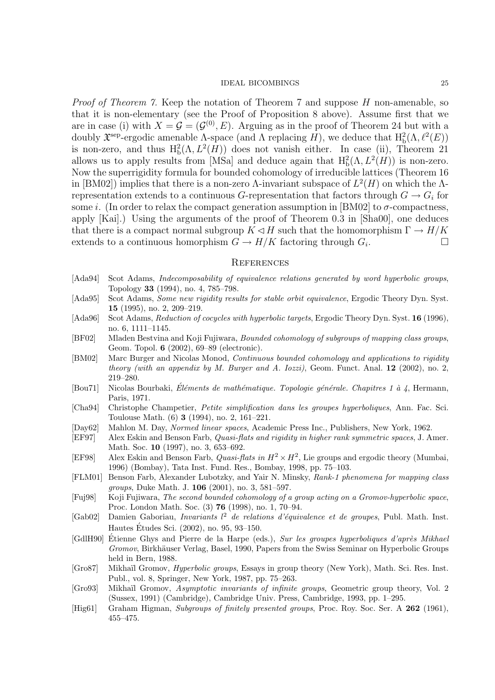Proof of Theorem 7. Keep the notation of Theorem 7 and suppose H non-amenable, so that it is non-elementary (see the Proof of Proposition 8 above). Assume first that we are in case (i) with  $X = \mathcal{G} = (\mathcal{G}^{(0)}, E)$ . Arguing as in the proof of Theorem 24 but with a doubly  $\mathfrak{X}^{\text{sep}}$ -ergodic amenable  $\Lambda$ -space (and  $\Lambda$  replacing H), we deduce that  $\mathrm{H}^2_{\mathrm{b}}(\Lambda,\ell^2(E))$ is non-zero, and thus  $H_b^2(\Lambda, L^2(H))$  does not vanish either. In case (ii), Theorem 21 allows us to apply results from [MSa] and deduce again that  $H_b^2(\Lambda, L^2(H))$  is non-zero. Now the superrigidity formula for bounded cohomology of irreducible lattices (Theorem 16 in [BM02]) implies that there is a non-zero  $\Lambda$ -invariant subspace of  $L^2(H)$  on which the  $\Lambda$ representation extends to a continuous G-representation that factors through  $G \to G_i$  for some i. (In order to relax the compact generation assumption in [BM02] to  $\sigma$ -compactness, apply [Kai].) Using the arguments of the proof of Theorem 0.3 in [Sha00], one deduces that there is a compact normal subgroup  $K \triangleleft H$  such that the homomorphism  $\Gamma \to H/K$ extends to a continuous homorphism  $G \to H/K$  factoring through  $G_i$ . . The contract of  $\Box$ 

## **REFERENCES**

- [Ada94] Scot Adams, *Indecomposability of equivalence relations generated by word hyperbolic groups*, Topology 33 (1994), no. 4, 785–798.
- [Ada95] Scot Adams, Some new rigidity results for stable orbit equivalence, Ergodic Theory Dyn. Syst. 15 (1995), no. 2, 209–219.
- [Ada96] Scot Adams, Reduction of cocycles with hyperbolic targets, Ergodic Theory Dyn. Syst. 16 (1996), no. 6, 1111–1145.
- [BF02] Mladen Bestvina and Koji Fujiwara, Bounded cohomology of subgroups of mapping class groups, Geom. Topol. 6 (2002), 69–89 (electronic).
- [BM02] Marc Burger and Nicolas Monod, Continuous bounded cohomology and applications to rigidity theory (with an appendix by M. Burger and A. Iozzi), Geom. Funct. Anal.  $12$  (2002), no. 2, 219–280.
- [Bou71] Nicolas Bourbaki, Éléments de mathématique. Topologie générale. Chapitres 1 à 4, Hermann, Paris, 1971.
- [Cha94] Christophe Champetier, Petite simplification dans les groupes hyperboliques, Ann. Fac. Sci. Toulouse Math. (6) 3 (1994), no. 2, 161–221.
- [Day62] Mahlon M. Day, Normed linear spaces, Academic Press Inc., Publishers, New York, 1962.
- [EF97] Alex Eskin and Benson Farb, Quasi-flats and rigidity in higher rank symmetric spaces, J. Amer. Math. Soc. **10** (1997), no. 3, 653–692.
- [EF98] Alex Eskin and Benson Farb, *Quasi-flats in*  $H^2 \times H^2$ , Lie groups and ergodic theory (Mumbai, 1996) (Bombay), Tata Inst. Fund. Res., Bombay, 1998, pp. 75–103.
- [FLM01] Benson Farb, Alexander Lubotzky, and Yair N. Minsky, Rank-1 phenomena for mapping class groups, Duke Math. J. 106 (2001), no. 3, 581–597.
- [Fuj98] Koji Fujiwara, The second bounded cohomology of a group acting on a Gromov-hyperbolic space, Proc. London Math. Soc. (3) 76 (1998), no. 1, 70–94.
- [Gab02] Damien Gaboriau, *Invariants l<sup>2</sup> de relations d'équivalence et de groupes*, Publ. Math. Inst. Hautes Etudes Sci. (2002), no. 95, 93–150. ´
- [GdlH90] Étienne Ghys and Pierre de la Harpe (eds.), Sur les groupes hyperboliques d'après Mikhael Gromov, Birkhäuser Verlag, Basel, 1990, Papers from the Swiss Seminar on Hyperbolic Groups held in Bern, 1988.
- [Gro87] Mikhaïl Gromov, *Hyperbolic groups*, Essays in group theory (New York), Math. Sci. Res. Inst. Publ., vol. 8, Springer, New York, 1987, pp. 75–263.
- [Gro93] Mikhaïl Gromov, Asymptotic invariants of infinite groups, Geometric group theory, Vol. 2 (Sussex, 1991) (Cambridge), Cambridge Univ. Press, Cambridge, 1993, pp. 1–295.
- [Hig61] Graham Higman, Subgroups of finitely presented groups, Proc. Roy. Soc. Ser. A 262 (1961), 455–475.